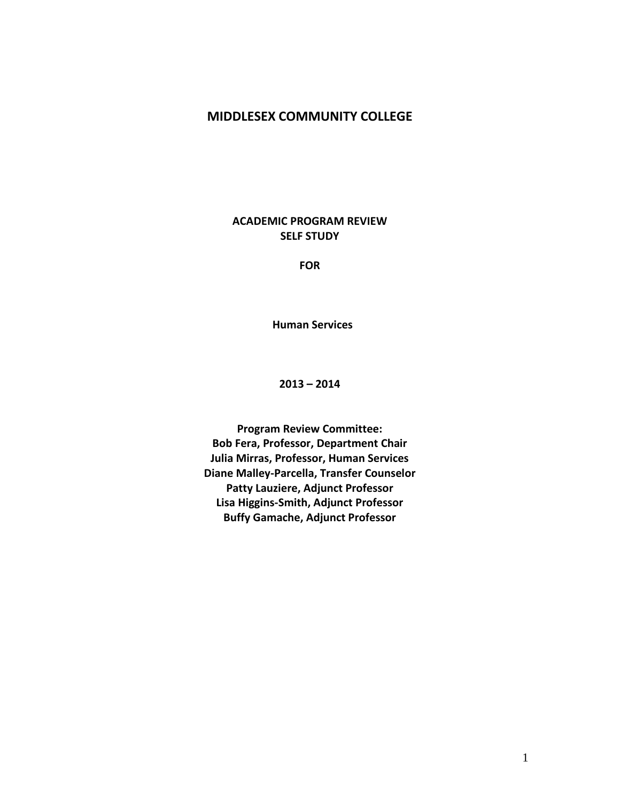# **MIDDLESEX COMMUNITY COLLEGE**

**ACADEMIC PROGRAM REVIEW SELF STUDY**

**FOR**

 **Human Services**

**2013 – 2014**

**Program Review Committee: Bob Fera, Professor, Department Chair Julia Mirras, Professor, Human Services Diane Malley-Parcella, Transfer Counselor Patty Lauziere, Adjunct Professor Lisa Higgins-Smith, Adjunct Professor Buffy Gamache, Adjunct Professor**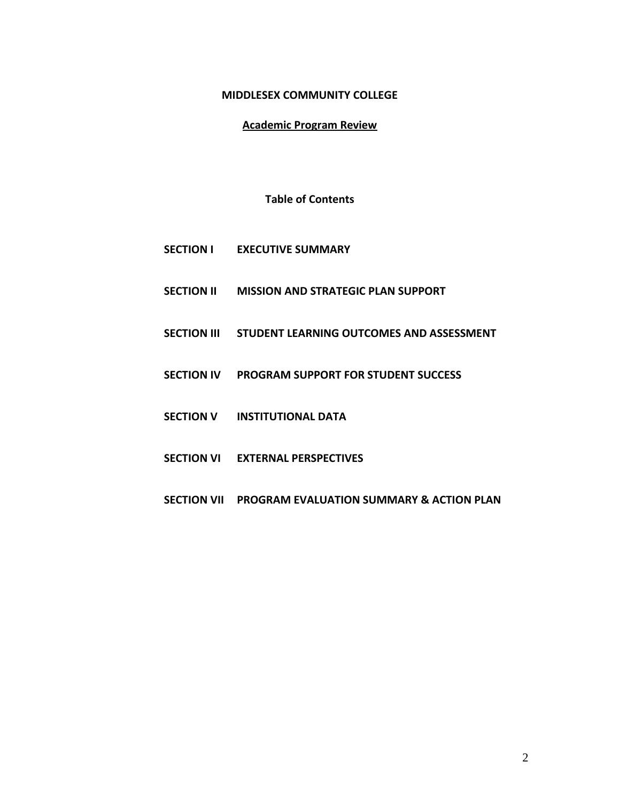### **MIDDLESEX COMMUNITY COLLEGE**

# **Academic Program Review**

### **Table of Contents**

- **SECTION I EXECUTIVE SUMMARY**
- **SECTION II MISSION AND STRATEGIC PLAN SUPPORT**
- **SECTION III STUDENT LEARNING OUTCOMES AND ASSESSMENT**
- **SECTION IV PROGRAM SUPPORT FOR STUDENT SUCCESS**
- **SECTION V INSTITUTIONAL DATA**
- **SECTION VI EXTERNAL PERSPECTIVES**
- **SECTION VII PROGRAM EVALUATION SUMMARY & ACTION PLAN**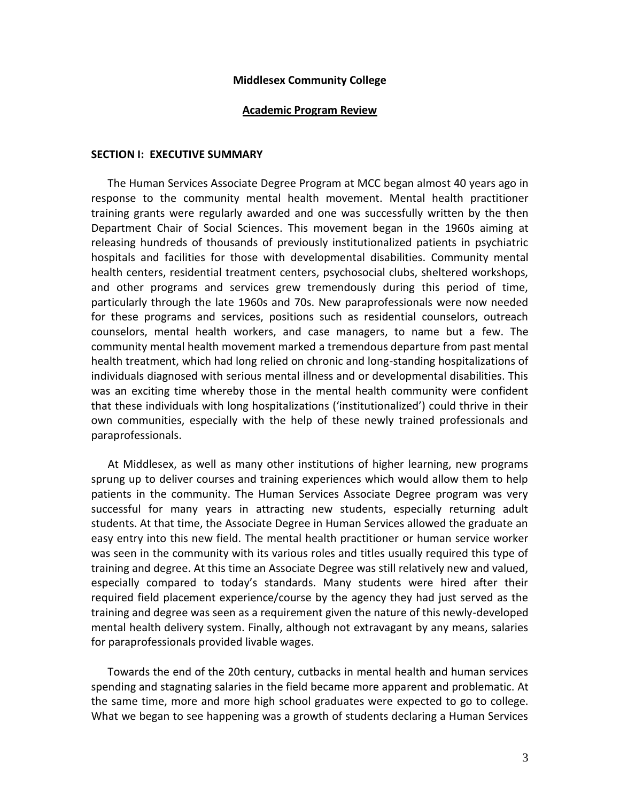#### **Middlesex Community College**

#### **Academic Program Review**

#### **SECTION I: EXECUTIVE SUMMARY**

 The Human Services Associate Degree Program at MCC began almost 40 years ago in response to the community mental health movement. Mental health practitioner training grants were regularly awarded and one was successfully written by the then Department Chair of Social Sciences. This movement began in the 1960s aiming at releasing hundreds of thousands of previously institutionalized patients in psychiatric hospitals and facilities for those with developmental disabilities. Community mental health centers, residential treatment centers, psychosocial clubs, sheltered workshops, and other programs and services grew tremendously during this period of time, particularly through the late 1960s and 70s. New paraprofessionals were now needed for these programs and services, positions such as residential counselors, outreach counselors, mental health workers, and case managers, to name but a few. The community mental health movement marked a tremendous departure from past mental health treatment, which had long relied on chronic and long-standing hospitalizations of individuals diagnosed with serious mental illness and or developmental disabilities. This was an exciting time whereby those in the mental health community were confident that these individuals with long hospitalizations ('institutionalized') could thrive in their own communities, especially with the help of these newly trained professionals and paraprofessionals.

 At Middlesex, as well as many other institutions of higher learning, new programs sprung up to deliver courses and training experiences which would allow them to help patients in the community. The Human Services Associate Degree program was very successful for many years in attracting new students, especially returning adult students. At that time, the Associate Degree in Human Services allowed the graduate an easy entry into this new field. The mental health practitioner or human service worker was seen in the community with its various roles and titles usually required this type of training and degree. At this time an Associate Degree was still relatively new and valued, especially compared to today's standards. Many students were hired after their required field placement experience/course by the agency they had just served as the training and degree was seen as a requirement given the nature of this newly-developed mental health delivery system. Finally, although not extravagant by any means, salaries for paraprofessionals provided livable wages.

 Towards the end of the 20th century, cutbacks in mental health and human services spending and stagnating salaries in the field became more apparent and problematic. At the same time, more and more high school graduates were expected to go to college. What we began to see happening was a growth of students declaring a Human Services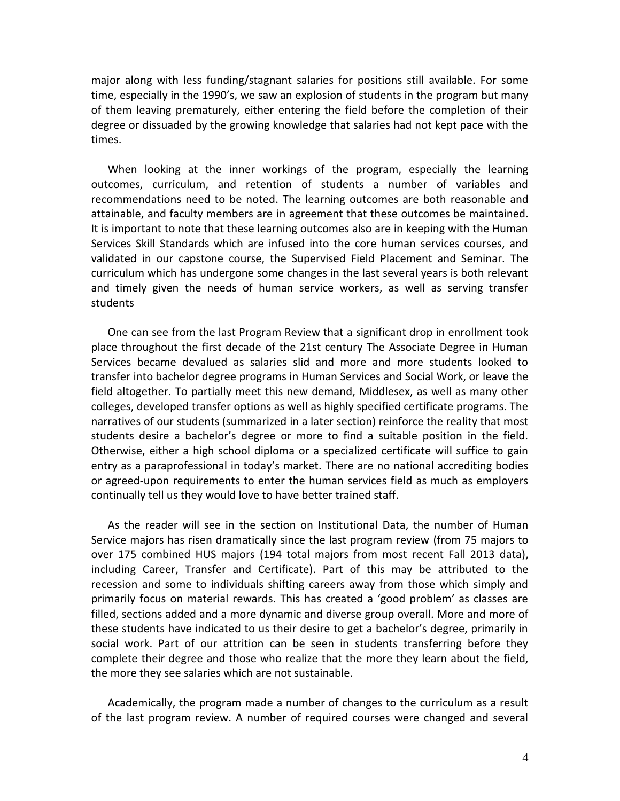major along with less funding/stagnant salaries for positions still available. For some time, especially in the 1990's, we saw an explosion of students in the program but many of them leaving prematurely, either entering the field before the completion of their degree or dissuaded by the growing knowledge that salaries had not kept pace with the times.

 When looking at the inner workings of the program, especially the learning outcomes, curriculum, and retention of students a number of variables and recommendations need to be noted. The learning outcomes are both reasonable and attainable, and faculty members are in agreement that these outcomes be maintained. It is important to note that these learning outcomes also are in keeping with the Human Services Skill Standards which are infused into the core human services courses, and validated in our capstone course, the Supervised Field Placement and Seminar. The curriculum which has undergone some changes in the last several years is both relevant and timely given the needs of human service workers, as well as serving transfer students

 One can see from the last Program Review that a significant drop in enrollment took place throughout the first decade of the 21st century The Associate Degree in Human Services became devalued as salaries slid and more and more students looked to transfer into bachelor degree programs in Human Services and Social Work, or leave the field altogether. To partially meet this new demand, Middlesex, as well as many other colleges, developed transfer options as well as highly specified certificate programs. The narratives of our students (summarized in a later section) reinforce the reality that most students desire a bachelor's degree or more to find a suitable position in the field. Otherwise, either a high school diploma or a specialized certificate will suffice to gain entry as a paraprofessional in today's market. There are no national accrediting bodies or agreed-upon requirements to enter the human services field as much as employers continually tell us they would love to have better trained staff.

 As the reader will see in the section on Institutional Data, the number of Human Service majors has risen dramatically since the last program review (from 75 majors to over 175 combined HUS majors (194 total majors from most recent Fall 2013 data), including Career, Transfer and Certificate). Part of this may be attributed to the recession and some to individuals shifting careers away from those which simply and primarily focus on material rewards. This has created a 'good problem' as classes are filled, sections added and a more dynamic and diverse group overall. More and more of these students have indicated to us their desire to get a bachelor's degree, primarily in social work. Part of our attrition can be seen in students transferring before they complete their degree and those who realize that the more they learn about the field, the more they see salaries which are not sustainable.

 Academically, the program made a number of changes to the curriculum as a result of the last program review. A number of required courses were changed and several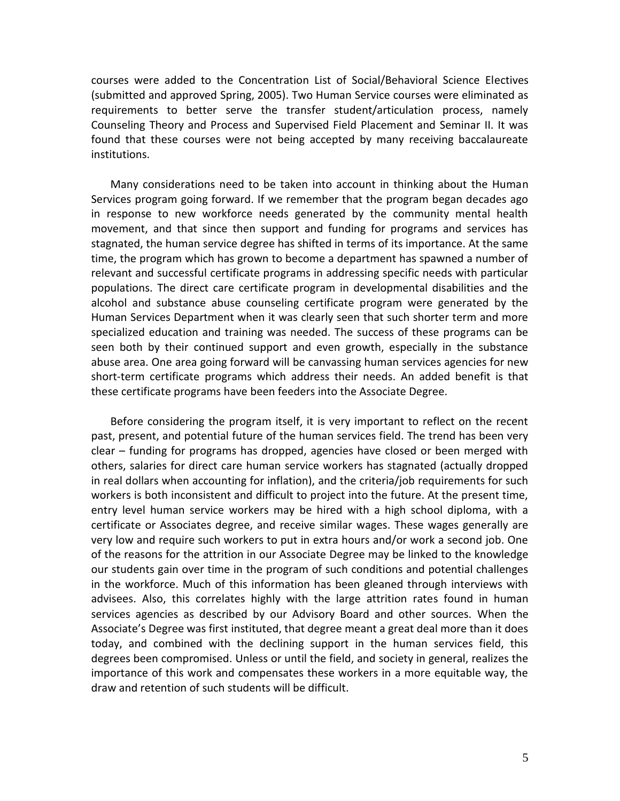courses were added to the Concentration List of Social/Behavioral Science Electives (submitted and approved Spring, 2005). Two Human Service courses were eliminated as requirements to better serve the transfer student/articulation process, namely Counseling Theory and Process and Supervised Field Placement and Seminar II. It was found that these courses were not being accepted by many receiving baccalaureate institutions.

 Many considerations need to be taken into account in thinking about the Human Services program going forward. If we remember that the program began decades ago in response to new workforce needs generated by the community mental health movement, and that since then support and funding for programs and services has stagnated, the human service degree has shifted in terms of its importance. At the same time, the program which has grown to become a department has spawned a number of relevant and successful certificate programs in addressing specific needs with particular populations. The direct care certificate program in developmental disabilities and the alcohol and substance abuse counseling certificate program were generated by the Human Services Department when it was clearly seen that such shorter term and more specialized education and training was needed. The success of these programs can be seen both by their continued support and even growth, especially in the substance abuse area. One area going forward will be canvassing human services agencies for new short-term certificate programs which address their needs. An added benefit is that these certificate programs have been feeders into the Associate Degree.

 Before considering the program itself, it is very important to reflect on the recent past, present, and potential future of the human services field. The trend has been very clear – funding for programs has dropped, agencies have closed or been merged with others, salaries for direct care human service workers has stagnated (actually dropped in real dollars when accounting for inflation), and the criteria/job requirements for such workers is both inconsistent and difficult to project into the future. At the present time, entry level human service workers may be hired with a high school diploma, with a certificate or Associates degree, and receive similar wages. These wages generally are very low and require such workers to put in extra hours and/or work a second job. One of the reasons for the attrition in our Associate Degree may be linked to the knowledge our students gain over time in the program of such conditions and potential challenges in the workforce. Much of this information has been gleaned through interviews with advisees. Also, this correlates highly with the large attrition rates found in human services agencies as described by our Advisory Board and other sources. When the Associate's Degree was first instituted, that degree meant a great deal more than it does today, and combined with the declining support in the human services field, this degrees been compromised. Unless or until the field, and society in general, realizes the importance of this work and compensates these workers in a more equitable way, the draw and retention of such students will be difficult.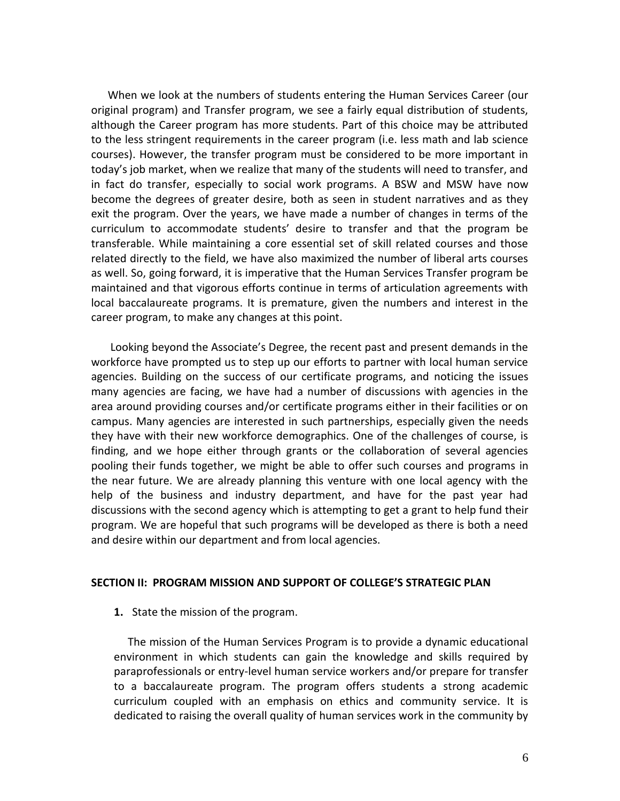When we look at the numbers of students entering the Human Services Career (our original program) and Transfer program, we see a fairly equal distribution of students, although the Career program has more students. Part of this choice may be attributed to the less stringent requirements in the career program (i.e. less math and lab science courses). However, the transfer program must be considered to be more important in today's job market, when we realize that many of the students will need to transfer, and in fact do transfer, especially to social work programs. A BSW and MSW have now become the degrees of greater desire, both as seen in student narratives and as they exit the program. Over the years, we have made a number of changes in terms of the curriculum to accommodate students' desire to transfer and that the program be transferable. While maintaining a core essential set of skill related courses and those related directly to the field, we have also maximized the number of liberal arts courses as well. So, going forward, it is imperative that the Human Services Transfer program be maintained and that vigorous efforts continue in terms of articulation agreements with local baccalaureate programs. It is premature, given the numbers and interest in the career program, to make any changes at this point.

 Looking beyond the Associate's Degree, the recent past and present demands in the workforce have prompted us to step up our efforts to partner with local human service agencies. Building on the success of our certificate programs, and noticing the issues many agencies are facing, we have had a number of discussions with agencies in the area around providing courses and/or certificate programs either in their facilities or on campus. Many agencies are interested in such partnerships, especially given the needs they have with their new workforce demographics. One of the challenges of course, is finding, and we hope either through grants or the collaboration of several agencies pooling their funds together, we might be able to offer such courses and programs in the near future. We are already planning this venture with one local agency with the help of the business and industry department, and have for the past year had discussions with the second agency which is attempting to get a grant to help fund their program. We are hopeful that such programs will be developed as there is both a need and desire within our department and from local agencies.

#### **SECTION II: PROGRAM MISSION AND SUPPORT OF COLLEGE'S STRATEGIC PLAN**

**1.** State the mission of the program.

 The mission of the Human Services Program is to provide a dynamic educational environment in which students can gain the knowledge and skills required by paraprofessionals or entry-level human service workers and/or prepare for transfer to a baccalaureate program. The program offers students a strong academic curriculum coupled with an emphasis on ethics and community service. It is dedicated to raising the overall quality of human services work in the community by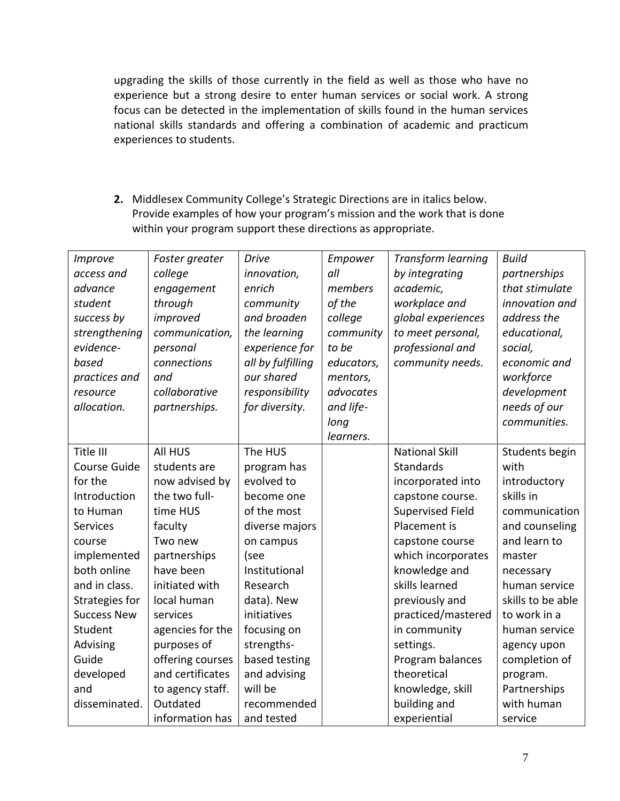upgrading the skills of those currently in the field as well as those who have no experience but a strong desire to enter human services or social work. A strong focus can be detected in the implementation of skills found in the human services national skills standards and offering a combination of academic and practicum experiences to students.

**2.** Middlesex Community College's Strategic Directions are in italics below. Provide examples of how your program's mission and the work that is done within your program support these directions as appropriate.

| Improve            | Foster greater   | <b>Drive</b>      | Empower    | <b>Transform learning</b> | <b>Build</b>      |
|--------------------|------------------|-------------------|------------|---------------------------|-------------------|
| access and         | college          | innovation,       | all        | by integrating            | partnerships      |
| advance            | engagement       | enrich            | members    | academic,                 | that stimulate    |
| student            | through          | community         | of the     | workplace and             | innovation and    |
| success by         | improved         | and broaden       | college    | global experiences        | address the       |
| strengthening      | communication,   | the learning      | community  | to meet personal,         | educational,      |
| evidence-          | personal         | experience for    | to be      | professional and          | social,           |
| based              | connections      | all by fulfilling | educators, | community needs.          | economic and      |
| practices and      | and              | our shared        | mentors,   |                           | workforce         |
| resource           | collaborative    | responsibility    | advocates  |                           | development       |
| allocation.        | partnerships.    | for diversity.    | and life-  |                           | needs of our      |
|                    |                  |                   | long       |                           | communities.      |
|                    |                  |                   | learners.  |                           |                   |
| Title III          | All HUS          | The HUS           |            | <b>National Skill</b>     | Students begin    |
| Course Guide       | students are     | program has       |            | Standards                 | with              |
| for the            | now advised by   | evolved to        |            | incorporated into         | introductory      |
| Introduction       | the two full-    | become one        |            | capstone course.          | skills in         |
| to Human           | time HUS         | of the most       |            | <b>Supervised Field</b>   | communication     |
| <b>Services</b>    | faculty          | diverse majors    |            | Placement is              | and counseling    |
| course             | Two new          | on campus         |            | capstone course           | and learn to      |
| implemented        | partnerships     | (see              |            | which incorporates        | master            |
| both online        | have been        | Institutional     |            | knowledge and             | necessary         |
| and in class.      | initiated with   | Research          |            | skills learned            | human service     |
| Strategies for     | local human      | data). New        |            | previously and            | skills to be able |
| <b>Success New</b> | services         | initiatives       |            | practiced/mastered        | to work in a      |
| Student            | agencies for the | focusing on       |            | in community              | human service     |
| Advising           | purposes of      | strengths-        |            | settings.                 | agency upon       |
| Guide              | offering courses | based testing     |            | Program balances          | completion of     |
| developed          | and certificates | and advising      |            | theoretical               | program.          |
| and                | to agency staff. | will be           |            | knowledge, skill          | Partnerships      |
| disseminated.      | Outdated         | recommended       |            | building and              | with human        |
|                    | information has  | and tested        |            | experiential              | service           |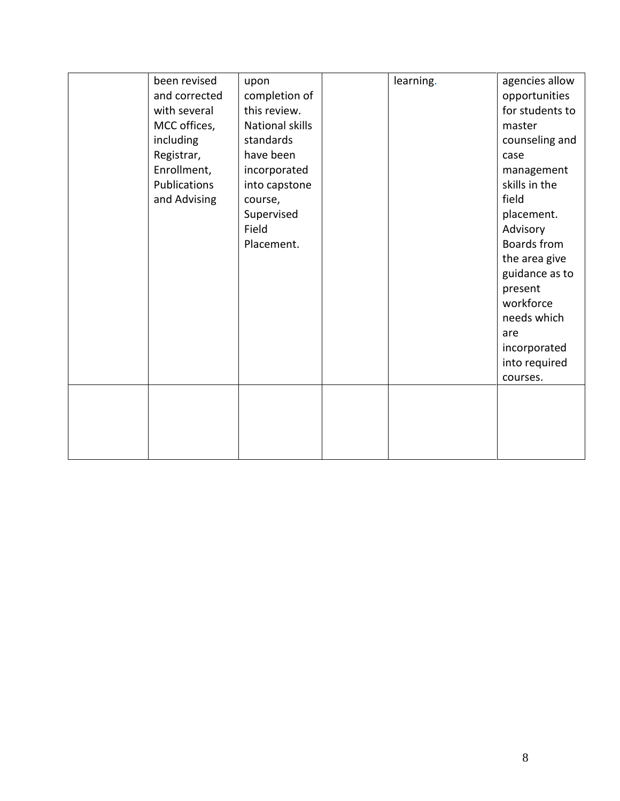| been revised  | upon            | learning. | agencies allow  |
|---------------|-----------------|-----------|-----------------|
| and corrected | completion of   |           | opportunities   |
| with several  | this review.    |           | for students to |
|               |                 |           |                 |
| MCC offices,  | National skills |           | master          |
| including     | standards       |           | counseling and  |
| Registrar,    | have been       |           | case            |
| Enrollment,   | incorporated    |           | management      |
| Publications  | into capstone   |           | skills in the   |
| and Advising  | course,         |           | field           |
|               | Supervised      |           | placement.      |
|               | Field           |           | Advisory        |
|               | Placement.      |           | Boards from     |
|               |                 |           | the area give   |
|               |                 |           | guidance as to  |
|               |                 |           | present         |
|               |                 |           | workforce       |
|               |                 |           | needs which     |
|               |                 |           | are             |
|               |                 |           | incorporated    |
|               |                 |           | into required   |
|               |                 |           | courses.        |
|               |                 |           |                 |
|               |                 |           |                 |
|               |                 |           |                 |
|               |                 |           |                 |
|               |                 |           |                 |
|               |                 |           |                 |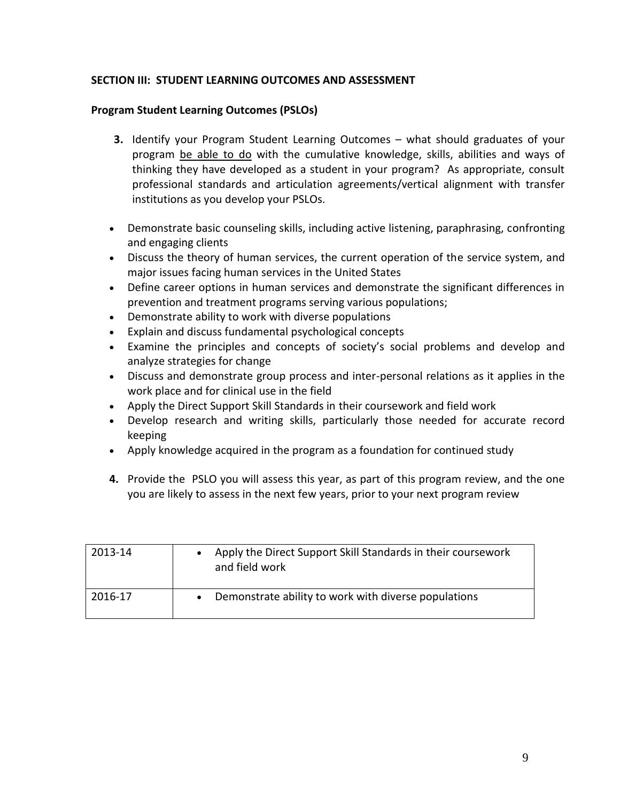# **SECTION III: STUDENT LEARNING OUTCOMES AND ASSESSMENT**

### **Program Student Learning Outcomes (PSLOs)**

- **3.** Identify your Program Student Learning Outcomes what should graduates of your program be able to do with the cumulative knowledge, skills, abilities and ways of thinking they have developed as a student in your program? As appropriate, consult professional standards and articulation agreements/vertical alignment with transfer institutions as you develop your PSLOs.
- Demonstrate basic counseling skills, including active listening, paraphrasing, confronting and engaging clients
- Discuss the theory of human services, the current operation of the service system, and major issues facing human services in the United States
- Define career options in human services and demonstrate the significant differences in prevention and treatment programs serving various populations;
- Demonstrate ability to work with diverse populations
- Explain and discuss fundamental psychological concepts
- Examine the principles and concepts of society's social problems and develop and analyze strategies for change
- Discuss and demonstrate group process and inter-personal relations as it applies in the work place and for clinical use in the field
- Apply the Direct Support Skill Standards in their coursework and field work
- Develop research and writing skills, particularly those needed for accurate record keeping
- Apply knowledge acquired in the program as a foundation for continued study
- **4.** Provide the PSLO you will assess this year, as part of this program review, and the one you are likely to assess in the next few years, prior to your next program review

| 2013-14 | Apply the Direct Support Skill Standards in their coursework<br>and field work |
|---------|--------------------------------------------------------------------------------|
| 2016-17 | Demonstrate ability to work with diverse populations                           |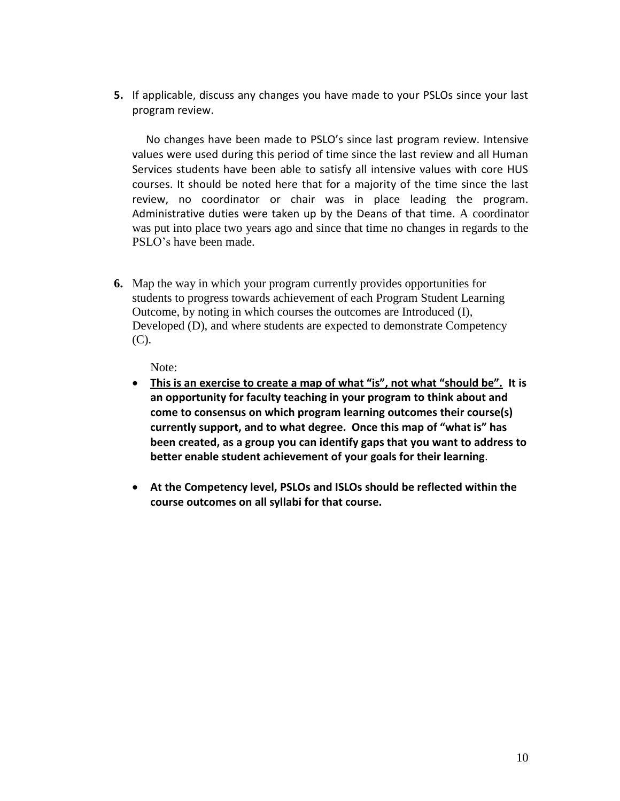**5.** If applicable, discuss any changes you have made to your PSLOs since your last program review.

 No changes have been made to PSLO's since last program review. Intensive values were used during this period of time since the last review and all Human Services students have been able to satisfy all intensive values with core HUS courses. It should be noted here that for a majority of the time since the last review, no coordinator or chair was in place leading the program. Administrative duties were taken up by the Deans of that time. A coordinator was put into place two years ago and since that time no changes in regards to the PSLO's have been made.

**6.** Map the way in which your program currently provides opportunities for students to progress towards achievement of each Program Student Learning Outcome, by noting in which courses the outcomes are Introduced (I), Developed (D), and where students are expected to demonstrate Competency (C).

Note:

- **This is an exercise to create a map of what "is", not what "should be". It is an opportunity for faculty teaching in your program to think about and come to consensus on which program learning outcomes their course(s) currently support, and to what degree. Once this map of "what is" has been created, as a group you can identify gaps that you want to address to better enable student achievement of your goals for their learning**.
- **At the Competency level, PSLOs and ISLOs should be reflected within the course outcomes on all syllabi for that course.**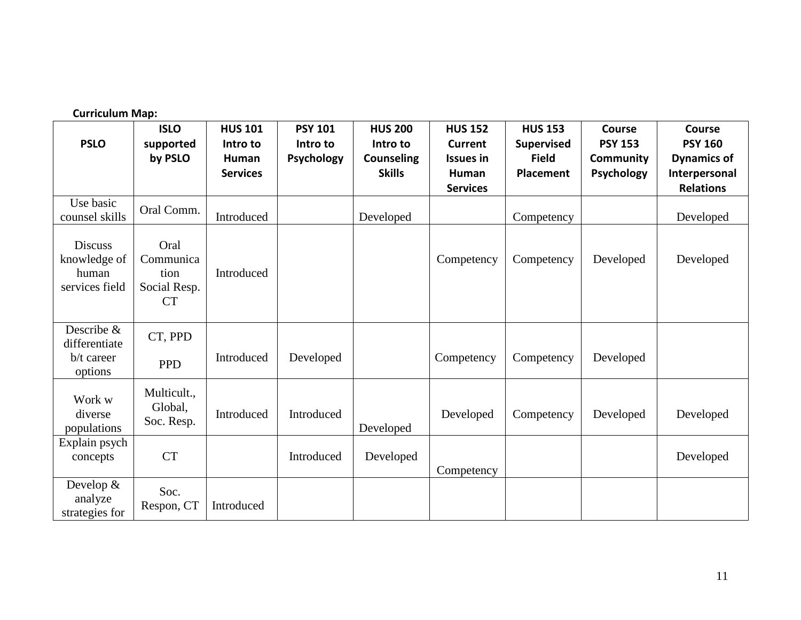| <b>Curriculum Map:</b>                                    |                                                        |                                                        |                                          |                                                                  |                                                                                  |                                                                  |                                                            |                                                                                     |
|-----------------------------------------------------------|--------------------------------------------------------|--------------------------------------------------------|------------------------------------------|------------------------------------------------------------------|----------------------------------------------------------------------------------|------------------------------------------------------------------|------------------------------------------------------------|-------------------------------------------------------------------------------------|
| <b>PSLO</b>                                               | <b>ISLO</b><br>supported<br>by PSLO                    | <b>HUS 101</b><br>Intro to<br>Human<br><b>Services</b> | <b>PSY 101</b><br>Intro to<br>Psychology | <b>HUS 200</b><br>Intro to<br><b>Counseling</b><br><b>Skills</b> | <b>HUS 152</b><br><b>Current</b><br><b>Issues in</b><br>Human<br><b>Services</b> | <b>HUS 153</b><br><b>Supervised</b><br><b>Field</b><br>Placement | Course<br><b>PSY 153</b><br>Community<br><b>Psychology</b> | Course<br><b>PSY 160</b><br><b>Dynamics of</b><br>Interpersonal<br><b>Relations</b> |
| Use basic<br>counsel skills                               | Oral Comm.                                             | Introduced                                             |                                          | Developed                                                        |                                                                                  | Competency                                                       |                                                            | Developed                                                                           |
| <b>Discuss</b><br>knowledge of<br>human<br>services field | Oral<br>Communica<br>tion<br>Social Resp.<br><b>CT</b> | Introduced                                             |                                          |                                                                  | Competency                                                                       | Competency                                                       | Developed                                                  | Developed                                                                           |
| Describe &<br>differentiate<br>b/t career<br>options      | CT, PPD<br><b>PPD</b>                                  | Introduced                                             | Developed                                |                                                                  | Competency                                                                       | Competency                                                       | Developed                                                  |                                                                                     |
| Work w<br>diverse<br>populations                          | Multicult.,<br>Global,<br>Soc. Resp.                   | Introduced                                             | Introduced                               | Developed                                                        | Developed                                                                        | Competency                                                       | Developed                                                  | Developed                                                                           |
| Explain psych<br>concepts                                 | <b>CT</b>                                              |                                                        | Introduced                               | Developed                                                        | Competency                                                                       |                                                                  |                                                            | Developed                                                                           |
| Develop $&$<br>analyze<br>strategies for                  | Soc.<br>Respon, CT                                     | Introduced                                             |                                          |                                                                  |                                                                                  |                                                                  |                                                            |                                                                                     |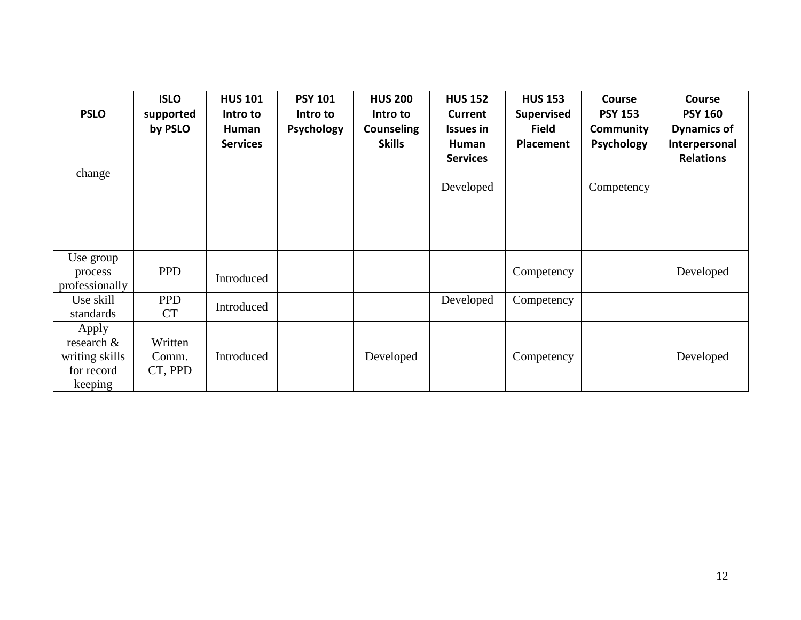| <b>PSLO</b>                                                       | <b>ISLO</b><br>supported<br>by PSLO | <b>HUS 101</b><br>Intro to<br>Human<br><b>Services</b> | <b>PSY 101</b><br>Intro to<br><b>Psychology</b> | <b>HUS 200</b><br>Intro to<br><b>Counseling</b><br><b>Skills</b> | <b>HUS 152</b><br>Current<br><b>Issues in</b><br>Human | <b>HUS 153</b><br><b>Supervised</b><br><b>Field</b><br>Placement | <b>Course</b><br><b>PSY 153</b><br>Community<br><b>Psychology</b> | <b>Course</b><br><b>PSY 160</b><br><b>Dynamics of</b><br>Interpersonal<br><b>Relations</b> |
|-------------------------------------------------------------------|-------------------------------------|--------------------------------------------------------|-------------------------------------------------|------------------------------------------------------------------|--------------------------------------------------------|------------------------------------------------------------------|-------------------------------------------------------------------|--------------------------------------------------------------------------------------------|
| change                                                            |                                     |                                                        |                                                 |                                                                  | <b>Services</b><br>Developed                           |                                                                  | Competency                                                        |                                                                                            |
| Use group<br>process<br>professionally                            | <b>PPD</b>                          | Introduced                                             |                                                 |                                                                  |                                                        | Competency                                                       |                                                                   | Developed                                                                                  |
| Use skill<br>standards                                            | <b>PPD</b><br><b>CT</b>             | Introduced                                             |                                                 |                                                                  | Developed                                              | Competency                                                       |                                                                   |                                                                                            |
| Apply<br>research $\&$<br>writing skills<br>for record<br>keeping | Written<br>Comm.<br>CT, PPD         | Introduced                                             |                                                 | Developed                                                        |                                                        | Competency                                                       |                                                                   | Developed                                                                                  |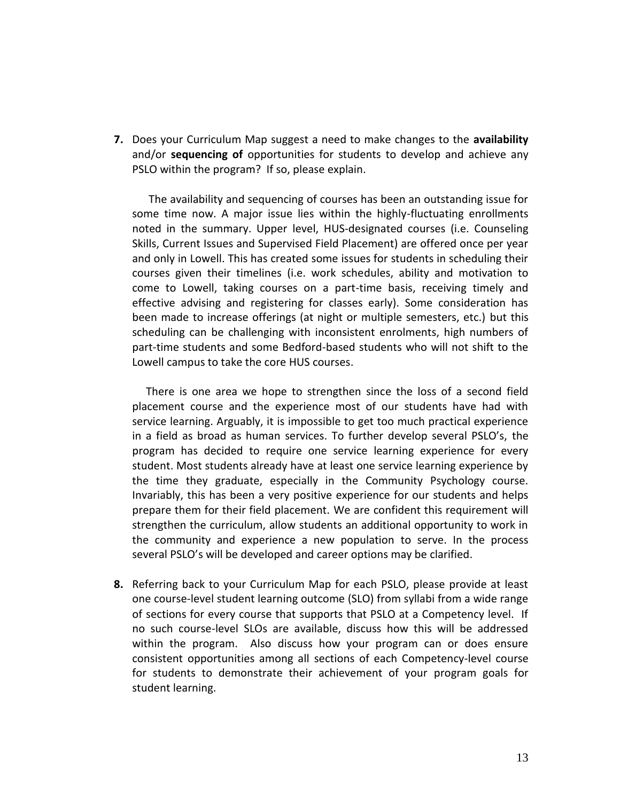**7.** Does your Curriculum Map suggest a need to make changes to the **availability**  and/or **sequencing of** opportunities for students to develop and achieve any PSLO within the program? If so, please explain.

 The availability and sequencing of courses has been an outstanding issue for some time now. A major issue lies within the highly-fluctuating enrollments noted in the summary. Upper level, HUS-designated courses (i.e. Counseling Skills, Current Issues and Supervised Field Placement) are offered once per year and only in Lowell. This has created some issues for students in scheduling their courses given their timelines (i.e. work schedules, ability and motivation to come to Lowell, taking courses on a part-time basis, receiving timely and effective advising and registering for classes early). Some consideration has been made to increase offerings (at night or multiple semesters, etc.) but this scheduling can be challenging with inconsistent enrolments, high numbers of part-time students and some Bedford-based students who will not shift to the Lowell campus to take the core HUS courses.

 There is one area we hope to strengthen since the loss of a second field placement course and the experience most of our students have had with service learning. Arguably, it is impossible to get too much practical experience in a field as broad as human services. To further develop several PSLO's, the program has decided to require one service learning experience for every student. Most students already have at least one service learning experience by the time they graduate, especially in the Community Psychology course. Invariably, this has been a very positive experience for our students and helps prepare them for their field placement. We are confident this requirement will strengthen the curriculum, allow students an additional opportunity to work in the community and experience a new population to serve. In the process several PSLO's will be developed and career options may be clarified.

**8.** Referring back to your Curriculum Map for each PSLO, please provide at least one course-level student learning outcome (SLO) from syllabi from a wide range of sections for every course that supports that PSLO at a Competency level. If no such course-level SLOs are available, discuss how this will be addressed within the program. Also discuss how your program can or does ensure consistent opportunities among all sections of each Competency-level course for students to demonstrate their achievement of your program goals for student learning.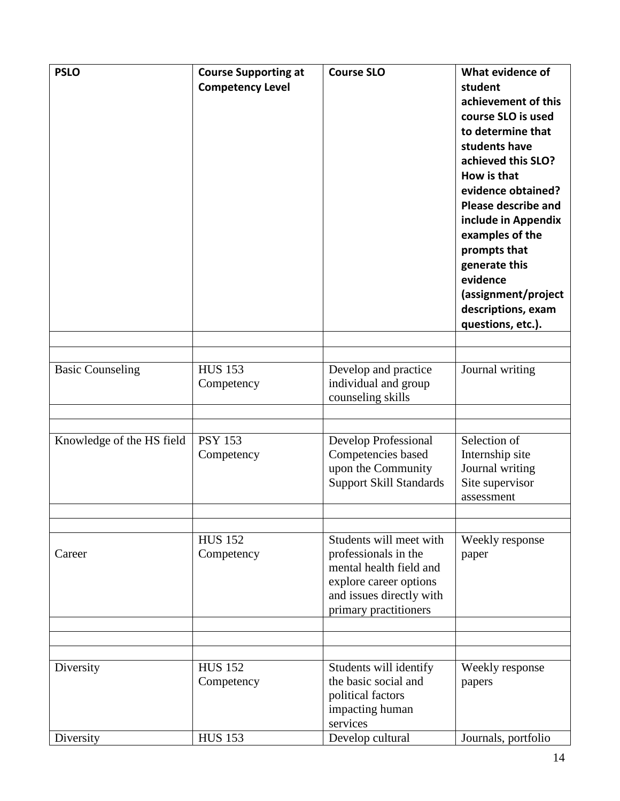| <b>PSLO</b>               | <b>Course Supporting at</b><br><b>Competency Level</b> | <b>Course SLO</b>                                                                                                                                         | What evidence of<br>student<br>achievement of this<br>course SLO is used<br>to determine that<br>students have<br>achieved this SLO?<br>How is that<br>evidence obtained?<br><b>Please describe and</b><br>include in Appendix<br>examples of the<br>prompts that<br>generate this<br>evidence<br>(assignment/project<br>descriptions, exam<br>questions, etc.). |
|---------------------------|--------------------------------------------------------|-----------------------------------------------------------------------------------------------------------------------------------------------------------|------------------------------------------------------------------------------------------------------------------------------------------------------------------------------------------------------------------------------------------------------------------------------------------------------------------------------------------------------------------|
| <b>Basic Counseling</b>   | <b>HUS 153</b><br>Competency                           | Develop and practice<br>individual and group<br>counseling skills                                                                                         | Journal writing                                                                                                                                                                                                                                                                                                                                                  |
| Knowledge of the HS field | <b>PSY 153</b><br>Competency                           | Develop Professional<br>Competencies based<br>upon the Community<br><b>Support Skill Standards</b>                                                        | Selection of<br>Internship site<br>Journal writing<br>Site supervisor<br>assessment                                                                                                                                                                                                                                                                              |
| Career                    | <b>HUS 152</b><br>Competency                           | Students will meet with<br>professionals in the<br>mental health field and<br>explore career options<br>and issues directly with<br>primary practitioners | Weekly response<br>paper                                                                                                                                                                                                                                                                                                                                         |
| Diversity                 | <b>HUS 152</b><br>Competency                           | Students will identify<br>the basic social and<br>political factors<br>impacting human<br>services                                                        | Weekly response<br>papers                                                                                                                                                                                                                                                                                                                                        |
| Diversity                 | <b>HUS 153</b>                                         | Develop cultural                                                                                                                                          | Journals, portfolio                                                                                                                                                                                                                                                                                                                                              |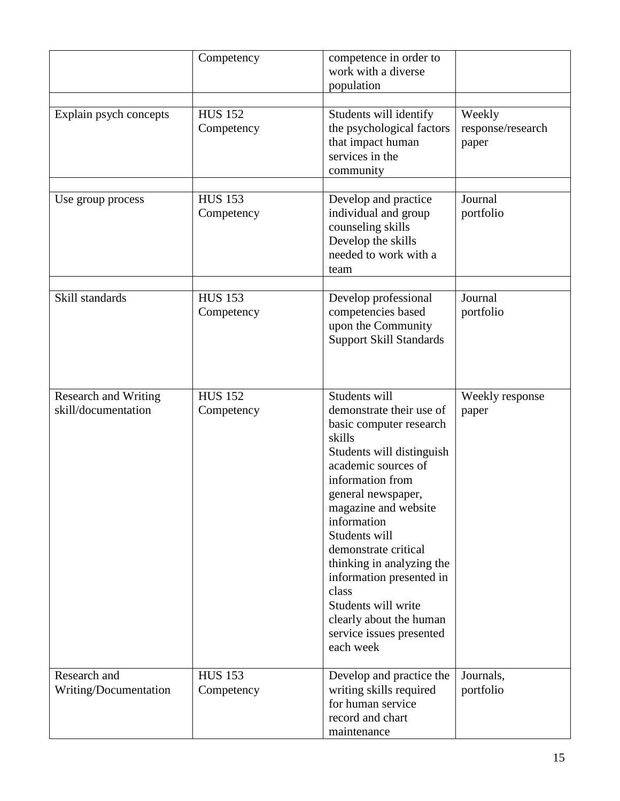|                                                    | Competency                   | competence in order to<br>work with a diverse<br>population                                                                                                                                                                                                                                                                                                                                                               |                                      |
|----------------------------------------------------|------------------------------|---------------------------------------------------------------------------------------------------------------------------------------------------------------------------------------------------------------------------------------------------------------------------------------------------------------------------------------------------------------------------------------------------------------------------|--------------------------------------|
| Explain psych concepts                             | <b>HUS 152</b><br>Competency | Students will identify<br>the psychological factors<br>that impact human<br>services in the<br>community                                                                                                                                                                                                                                                                                                                  | Weekly<br>response/research<br>paper |
| Use group process                                  | <b>HUS 153</b><br>Competency | Develop and practice<br>individual and group<br>counseling skills<br>Develop the skills<br>needed to work with a<br>team                                                                                                                                                                                                                                                                                                  | Journal<br>portfolio                 |
| Skill standards                                    | <b>HUS 153</b><br>Competency | Develop professional<br>competencies based<br>upon the Community<br><b>Support Skill Standards</b>                                                                                                                                                                                                                                                                                                                        | Journal<br>portfolio                 |
| <b>Research and Writing</b><br>skill/documentation | <b>HUS 152</b><br>Competency | Students will<br>demonstrate their use of<br>basic computer research<br>skills<br>Students will distinguish<br>academic sources of<br>information from<br>general newspaper,<br>magazine and website<br>information<br>Students will<br>demonstrate critical<br>thinking in analyzing the<br>information presented in<br>class<br>Students will write<br>clearly about the human<br>service issues presented<br>each week | Weekly response<br>paper             |
| Research and<br>Writing/Documentation              | <b>HUS 153</b><br>Competency | Develop and practice the<br>writing skills required<br>for human service<br>record and chart<br>maintenance                                                                                                                                                                                                                                                                                                               | Journals,<br>portfolio               |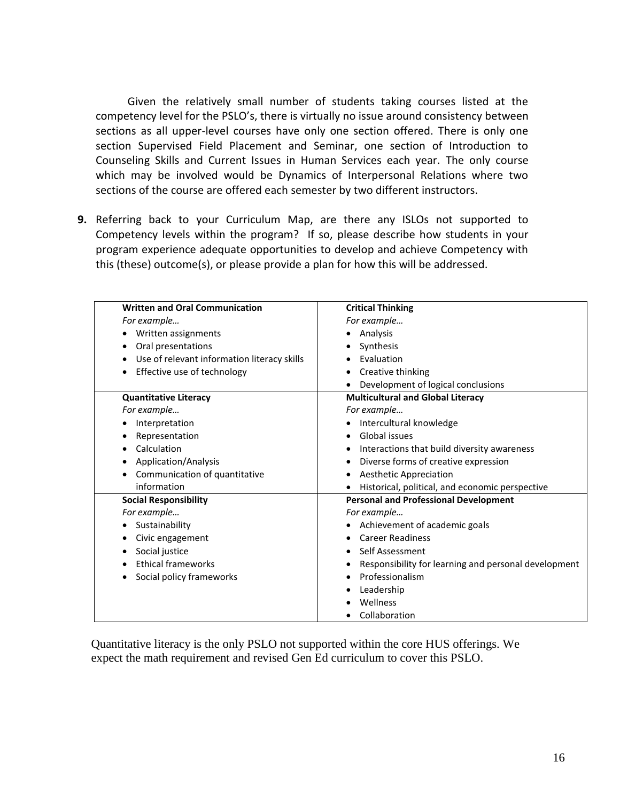Given the relatively small number of students taking courses listed at the competency level for the PSLO's, there is virtually no issue around consistency between sections as all upper-level courses have only one section offered. There is only one section Supervised Field Placement and Seminar, one section of Introduction to Counseling Skills and Current Issues in Human Services each year. The only course which may be involved would be Dynamics of Interpersonal Relations where two sections of the course are offered each semester by two different instructors.

**9.** Referring back to your Curriculum Map, are there any ISLOs not supported to Competency levels within the program? If so, please describe how students in your program experience adequate opportunities to develop and achieve Competency with this (these) outcome(s), or please provide a plan for how this will be addressed.

| <b>Written and Oral Communication</b>                    | <b>Critical Thinking</b>                                  |
|----------------------------------------------------------|-----------------------------------------------------------|
| For example                                              | For example                                               |
| Written assignments<br>٠                                 | Analysis<br>٠                                             |
| Oral presentations<br>٠                                  | Synthesis<br>٠                                            |
| Use of relevant information literacy skills<br>$\bullet$ | Evaluation                                                |
| Effective use of technology<br>٠                         | Creative thinking<br>٠                                    |
|                                                          | Development of logical conclusions                        |
| <b>Quantitative Literacy</b>                             | <b>Multicultural and Global Literacy</b>                  |
| For example                                              | For example                                               |
| Interpretation                                           | Intercultural knowledge                                   |
| Representation                                           | Global issues<br>$\bullet$                                |
| Calculation                                              | Interactions that build diversity awareness<br>٠          |
| Application/Analysis                                     | Diverse forms of creative expression<br>٠                 |
| Communication of quantitative                            | <b>Aesthetic Appreciation</b><br>٠                        |
| information                                              | Historical, political, and economic perspective           |
| <b>Social Responsibility</b>                             | <b>Personal and Professional Development</b>              |
| For example                                              | For example                                               |
| Sustainability                                           | Achievement of academic goals                             |
| Civic engagement                                         | <b>Career Readiness</b><br>$\bullet$                      |
| Social justice                                           | Self Assessment<br>٠                                      |
| <b>Ethical frameworks</b>                                | Responsibility for learning and personal development<br>٠ |
| Social policy frameworks                                 | Professionalism<br>$\bullet$                              |
|                                                          | Leadership<br>٠                                           |
|                                                          | Wellness                                                  |
|                                                          | Collaboration                                             |

Quantitative literacy is the only PSLO not supported within the core HUS offerings. We expect the math requirement and revised Gen Ed curriculum to cover this PSLO.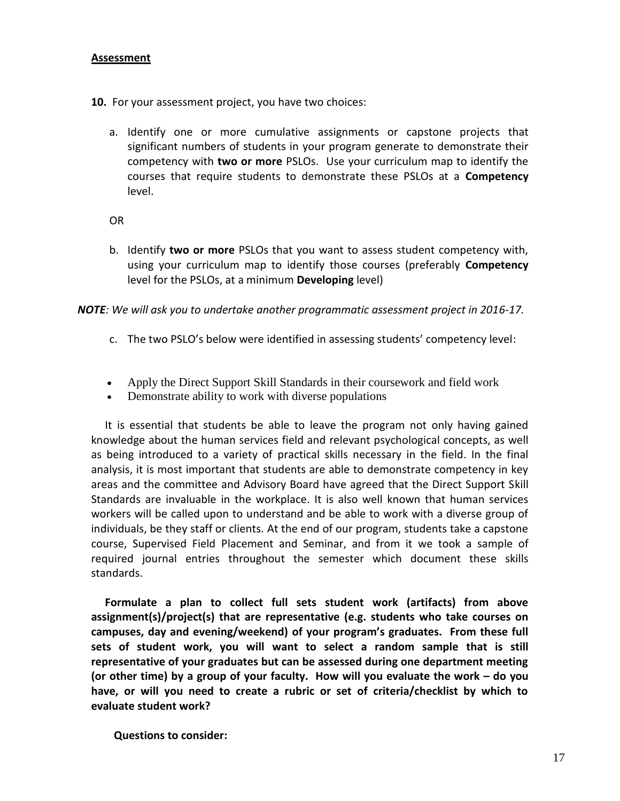# **Assessment**

- **10.** For your assessment project, you have two choices:
	- a. Identify one or more cumulative assignments or capstone projects that significant numbers of students in your program generate to demonstrate their competency with **two or more** PSLOs. Use your curriculum map to identify the courses that require students to demonstrate these PSLOs at a **Competency** level.

OR

b. Identify **two or more** PSLOs that you want to assess student competency with, using your curriculum map to identify those courses (preferably **Competency** level for the PSLOs, at a minimum **Developing** level)

*NOTE: We will ask you to undertake another programmatic assessment project in 2016-17.* 

- c. The two PSLO's below were identified in assessing students' competency level:
- Apply the Direct Support Skill Standards in their coursework and field work
- Demonstrate ability to work with diverse populations

 It is essential that students be able to leave the program not only having gained knowledge about the human services field and relevant psychological concepts, as well as being introduced to a variety of practical skills necessary in the field. In the final analysis, it is most important that students are able to demonstrate competency in key areas and the committee and Advisory Board have agreed that the Direct Support Skill Standards are invaluable in the workplace. It is also well known that human services workers will be called upon to understand and be able to work with a diverse group of individuals, be they staff or clients. At the end of our program, students take a capstone course, Supervised Field Placement and Seminar, and from it we took a sample of required journal entries throughout the semester which document these skills standards.

 **Formulate a plan to collect full sets student work (artifacts) from above assignment(s)/project(s) that are representative (e.g. students who take courses on campuses, day and evening/weekend) of your program's graduates. From these full sets of student work, you will want to select a random sample that is still representative of your graduates but can be assessed during one department meeting (or other time) by a group of your faculty. How will you evaluate the work – do you have, or will you need to create a rubric or set of criteria/checklist by which to evaluate student work?**

**Questions to consider:**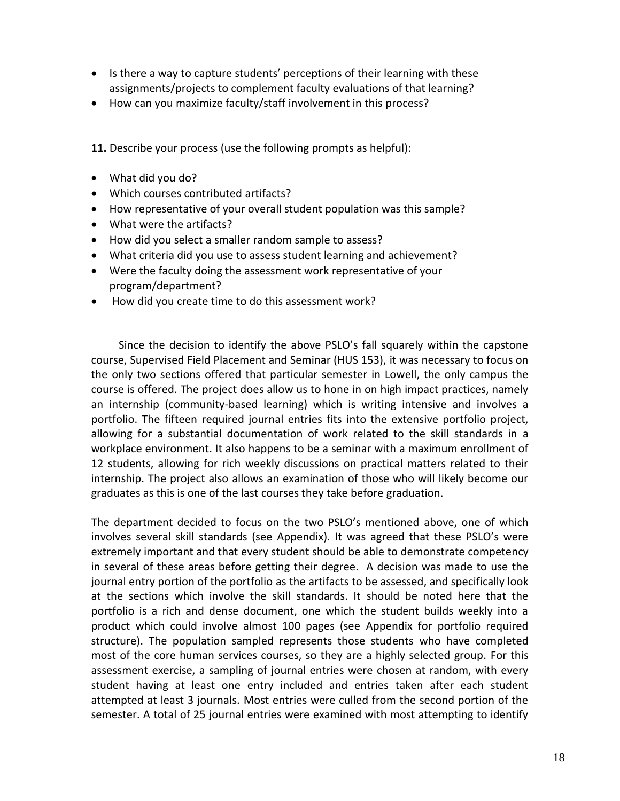- Is there a way to capture students' perceptions of their learning with these assignments/projects to complement faculty evaluations of that learning?
- How can you maximize faculty/staff involvement in this process?

**11.** Describe your process (use the following prompts as helpful):

- What did you do?
- Which courses contributed artifacts?
- How representative of your overall student population was this sample?
- What were the artifacts?
- How did you select a smaller random sample to assess?
- What criteria did you use to assess student learning and achievement?
- Were the faculty doing the assessment work representative of your program/department?
- How did you create time to do this assessment work?

 Since the decision to identify the above PSLO's fall squarely within the capstone course, Supervised Field Placement and Seminar (HUS 153), it was necessary to focus on the only two sections offered that particular semester in Lowell, the only campus the course is offered. The project does allow us to hone in on high impact practices, namely an internship (community-based learning) which is writing intensive and involves a portfolio. The fifteen required journal entries fits into the extensive portfolio project, allowing for a substantial documentation of work related to the skill standards in a workplace environment. It also happens to be a seminar with a maximum enrollment of 12 students, allowing for rich weekly discussions on practical matters related to their internship. The project also allows an examination of those who will likely become our graduates as this is one of the last courses they take before graduation.

The department decided to focus on the two PSLO's mentioned above, one of which involves several skill standards (see Appendix). It was agreed that these PSLO's were extremely important and that every student should be able to demonstrate competency in several of these areas before getting their degree. A decision was made to use the journal entry portion of the portfolio as the artifacts to be assessed, and specifically look at the sections which involve the skill standards. It should be noted here that the portfolio is a rich and dense document, one which the student builds weekly into a product which could involve almost 100 pages (see Appendix for portfolio required structure). The population sampled represents those students who have completed most of the core human services courses, so they are a highly selected group. For this assessment exercise, a sampling of journal entries were chosen at random, with every student having at least one entry included and entries taken after each student attempted at least 3 journals. Most entries were culled from the second portion of the semester. A total of 25 journal entries were examined with most attempting to identify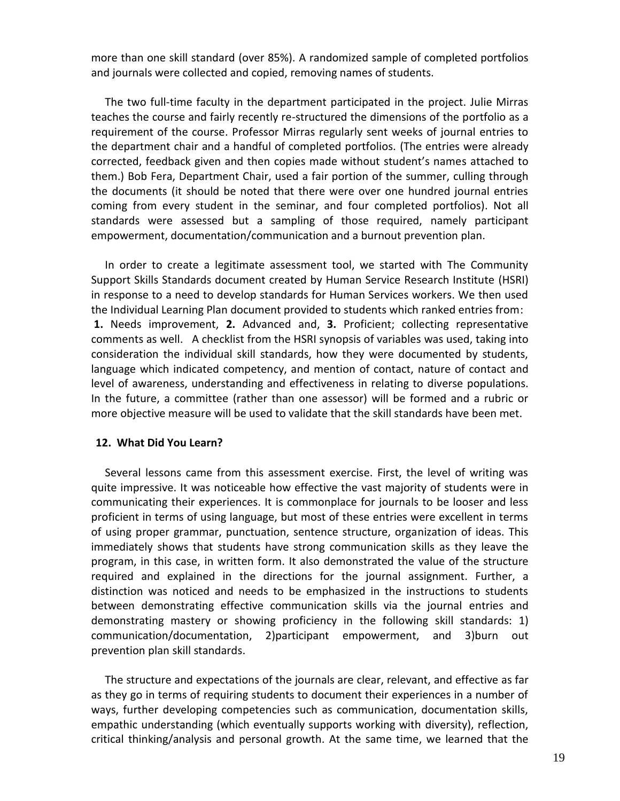more than one skill standard (over 85%). A randomized sample of completed portfolios and journals were collected and copied, removing names of students.

 The two full-time faculty in the department participated in the project. Julie Mirras teaches the course and fairly recently re-structured the dimensions of the portfolio as a requirement of the course. Professor Mirras regularly sent weeks of journal entries to the department chair and a handful of completed portfolios. (The entries were already corrected, feedback given and then copies made without student's names attached to them.) Bob Fera, Department Chair, used a fair portion of the summer, culling through the documents (it should be noted that there were over one hundred journal entries coming from every student in the seminar, and four completed portfolios). Not all standards were assessed but a sampling of those required, namely participant empowerment, documentation/communication and a burnout prevention plan.

 In order to create a legitimate assessment tool, we started with The Community Support Skills Standards document created by Human Service Research Institute (HSRI) in response to a need to develop standards for Human Services workers. We then used the Individual Learning Plan document provided to students which ranked entries from: **1.** Needs improvement, **2.** Advanced and, **3.** Proficient; collecting representative comments as well. A checklist from the HSRI synopsis of variables was used, taking into consideration the individual skill standards, how they were documented by students, language which indicated competency, and mention of contact, nature of contact and level of awareness, understanding and effectiveness in relating to diverse populations. In the future, a committee (rather than one assessor) will be formed and a rubric or more objective measure will be used to validate that the skill standards have been met.

#### **12. What Did You Learn?**

 Several lessons came from this assessment exercise. First, the level of writing was quite impressive. It was noticeable how effective the vast majority of students were in communicating their experiences. It is commonplace for journals to be looser and less proficient in terms of using language, but most of these entries were excellent in terms of using proper grammar, punctuation, sentence structure, organization of ideas. This immediately shows that students have strong communication skills as they leave the program, in this case, in written form. It also demonstrated the value of the structure required and explained in the directions for the journal assignment. Further, a distinction was noticed and needs to be emphasized in the instructions to students between demonstrating effective communication skills via the journal entries and demonstrating mastery or showing proficiency in the following skill standards: 1) communication/documentation, 2)participant empowerment, and 3)burn out prevention plan skill standards.

 The structure and expectations of the journals are clear, relevant, and effective as far as they go in terms of requiring students to document their experiences in a number of ways, further developing competencies such as communication, documentation skills, empathic understanding (which eventually supports working with diversity), reflection, critical thinking/analysis and personal growth. At the same time, we learned that the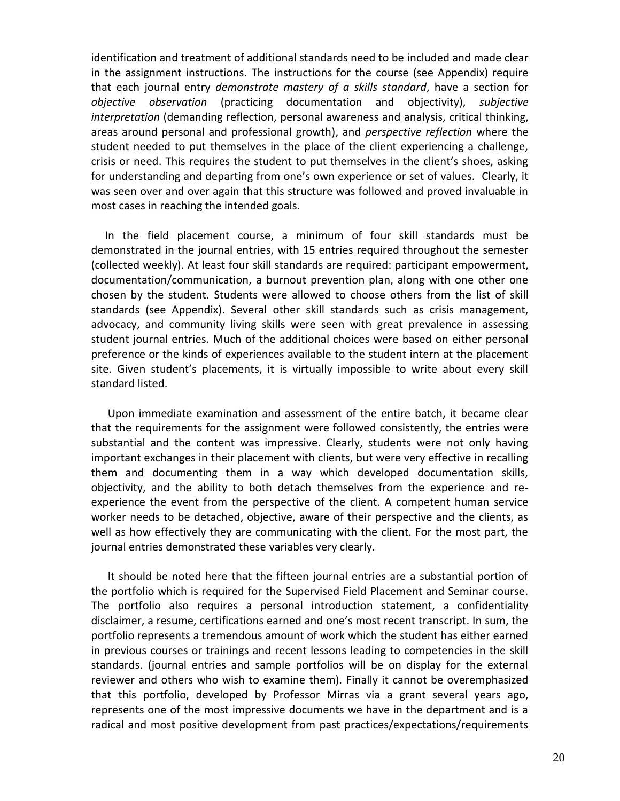identification and treatment of additional standards need to be included and made clear in the assignment instructions. The instructions for the course (see Appendix) require that each journal entry *demonstrate mastery of a skills standard*, have a section for *objective observation* (practicing documentation and objectivity), *subjective interpretation* (demanding reflection, personal awareness and analysis, critical thinking, areas around personal and professional growth), and *perspective reflection* where the student needed to put themselves in the place of the client experiencing a challenge, crisis or need. This requires the student to put themselves in the client's shoes, asking for understanding and departing from one's own experience or set of values. Clearly, it was seen over and over again that this structure was followed and proved invaluable in most cases in reaching the intended goals.

 In the field placement course, a minimum of four skill standards must be demonstrated in the journal entries, with 15 entries required throughout the semester (collected weekly). At least four skill standards are required: participant empowerment, documentation/communication, a burnout prevention plan, along with one other one chosen by the student. Students were allowed to choose others from the list of skill standards (see Appendix). Several other skill standards such as crisis management, advocacy, and community living skills were seen with great prevalence in assessing student journal entries. Much of the additional choices were based on either personal preference or the kinds of experiences available to the student intern at the placement site. Given student's placements, it is virtually impossible to write about every skill standard listed.

 Upon immediate examination and assessment of the entire batch, it became clear that the requirements for the assignment were followed consistently, the entries were substantial and the content was impressive. Clearly, students were not only having important exchanges in their placement with clients, but were very effective in recalling them and documenting them in a way which developed documentation skills, objectivity, and the ability to both detach themselves from the experience and reexperience the event from the perspective of the client. A competent human service worker needs to be detached, objective, aware of their perspective and the clients, as well as how effectively they are communicating with the client. For the most part, the journal entries demonstrated these variables very clearly.

 It should be noted here that the fifteen journal entries are a substantial portion of the portfolio which is required for the Supervised Field Placement and Seminar course. The portfolio also requires a personal introduction statement, a confidentiality disclaimer, a resume, certifications earned and one's most recent transcript. In sum, the portfolio represents a tremendous amount of work which the student has either earned in previous courses or trainings and recent lessons leading to competencies in the skill standards. (journal entries and sample portfolios will be on display for the external reviewer and others who wish to examine them). Finally it cannot be overemphasized that this portfolio, developed by Professor Mirras via a grant several years ago, represents one of the most impressive documents we have in the department and is a radical and most positive development from past practices/expectations/requirements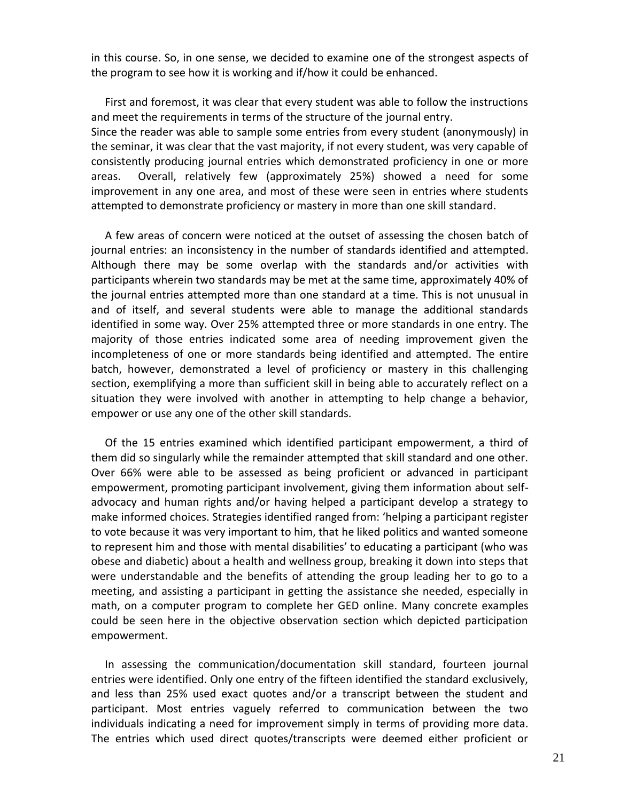in this course. So, in one sense, we decided to examine one of the strongest aspects of the program to see how it is working and if/how it could be enhanced.

 First and foremost, it was clear that every student was able to follow the instructions and meet the requirements in terms of the structure of the journal entry. Since the reader was able to sample some entries from every student (anonymously) in the seminar, it was clear that the vast majority, if not every student, was very capable of consistently producing journal entries which demonstrated proficiency in one or more areas. Overall, relatively few (approximately 25%) showed a need for some improvement in any one area, and most of these were seen in entries where students attempted to demonstrate proficiency or mastery in more than one skill standard.

 A few areas of concern were noticed at the outset of assessing the chosen batch of journal entries: an inconsistency in the number of standards identified and attempted. Although there may be some overlap with the standards and/or activities with participants wherein two standards may be met at the same time, approximately 40% of the journal entries attempted more than one standard at a time. This is not unusual in and of itself, and several students were able to manage the additional standards identified in some way. Over 25% attempted three or more standards in one entry. The majority of those entries indicated some area of needing improvement given the incompleteness of one or more standards being identified and attempted. The entire batch, however, demonstrated a level of proficiency or mastery in this challenging section, exemplifying a more than sufficient skill in being able to accurately reflect on a situation they were involved with another in attempting to help change a behavior, empower or use any one of the other skill standards.

 Of the 15 entries examined which identified participant empowerment, a third of them did so singularly while the remainder attempted that skill standard and one other. Over 66% were able to be assessed as being proficient or advanced in participant empowerment, promoting participant involvement, giving them information about selfadvocacy and human rights and/or having helped a participant develop a strategy to make informed choices. Strategies identified ranged from: 'helping a participant register to vote because it was very important to him, that he liked politics and wanted someone to represent him and those with mental disabilities' to educating a participant (who was obese and diabetic) about a health and wellness group, breaking it down into steps that were understandable and the benefits of attending the group leading her to go to a meeting, and assisting a participant in getting the assistance she needed, especially in math, on a computer program to complete her GED online. Many concrete examples could be seen here in the objective observation section which depicted participation empowerment.

 In assessing the communication/documentation skill standard, fourteen journal entries were identified. Only one entry of the fifteen identified the standard exclusively, and less than 25% used exact quotes and/or a transcript between the student and participant. Most entries vaguely referred to communication between the two individuals indicating a need for improvement simply in terms of providing more data. The entries which used direct quotes/transcripts were deemed either proficient or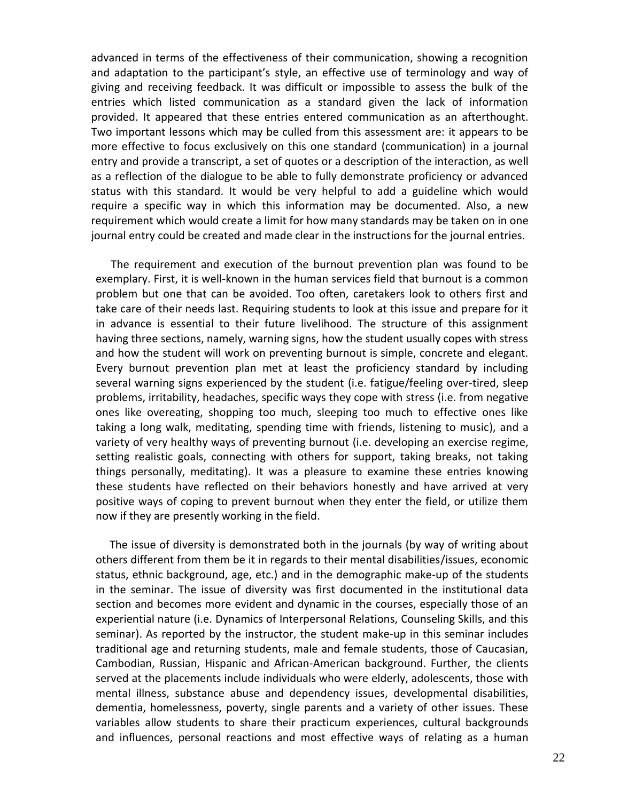advanced in terms of the effectiveness of their communication, showing a recognition and adaptation to the participant's style, an effective use of terminology and way of giving and receiving feedback. It was difficult or impossible to assess the bulk of the entries which listed communication as a standard given the lack of information provided. It appeared that these entries entered communication as an afterthought. Two important lessons which may be culled from this assessment are: it appears to be more effective to focus exclusively on this one standard (communication) in a journal entry and provide a transcript, a set of quotes or a description of the interaction, as well as a reflection of the dialogue to be able to fully demonstrate proficiency or advanced status with this standard. It would be very helpful to add a guideline which would require a specific way in which this information may be documented. Also, a new requirement which would create a limit for how many standards may be taken on in one journal entry could be created and made clear in the instructions for the journal entries.

 The requirement and execution of the burnout prevention plan was found to be exemplary. First, it is well-known in the human services field that burnout is a common problem but one that can be avoided. Too often, caretakers look to others first and take care of their needs last. Requiring students to look at this issue and prepare for it in advance is essential to their future livelihood. The structure of this assignment having three sections, namely, warning signs, how the student usually copes with stress and how the student will work on preventing burnout is simple, concrete and elegant. Every burnout prevention plan met at least the proficiency standard by including several warning signs experienced by the student (i.e. fatigue/feeling over-tired, sleep problems, irritability, headaches, specific ways they cope with stress (i.e. from negative ones like overeating, shopping too much, sleeping too much to effective ones like taking a long walk, meditating, spending time with friends, listening to music), and a variety of very healthy ways of preventing burnout (i.e. developing an exercise regime, setting realistic goals, connecting with others for support, taking breaks, not taking things personally, meditating). It was a pleasure to examine these entries knowing these students have reflected on their behaviors honestly and have arrived at very positive ways of coping to prevent burnout when they enter the field, or utilize them now if they are presently working in the field.

 The issue of diversity is demonstrated both in the journals (by way of writing about others different from them be it in regards to their mental disabilities/issues, economic status, ethnic background, age, etc.) and in the demographic make-up of the students in the seminar. The issue of diversity was first documented in the institutional data section and becomes more evident and dynamic in the courses, especially those of an experiential nature (i.e. Dynamics of Interpersonal Relations, Counseling Skills, and this seminar). As reported by the instructor, the student make-up in this seminar includes traditional age and returning students, male and female students, those of Caucasian, Cambodian, Russian, Hispanic and African-American background. Further, the clients served at the placements include individuals who were elderly, adolescents, those with mental illness, substance abuse and dependency issues, developmental disabilities, dementia, homelessness, poverty, single parents and a variety of other issues. These variables allow students to share their practicum experiences, cultural backgrounds and influences, personal reactions and most effective ways of relating as a human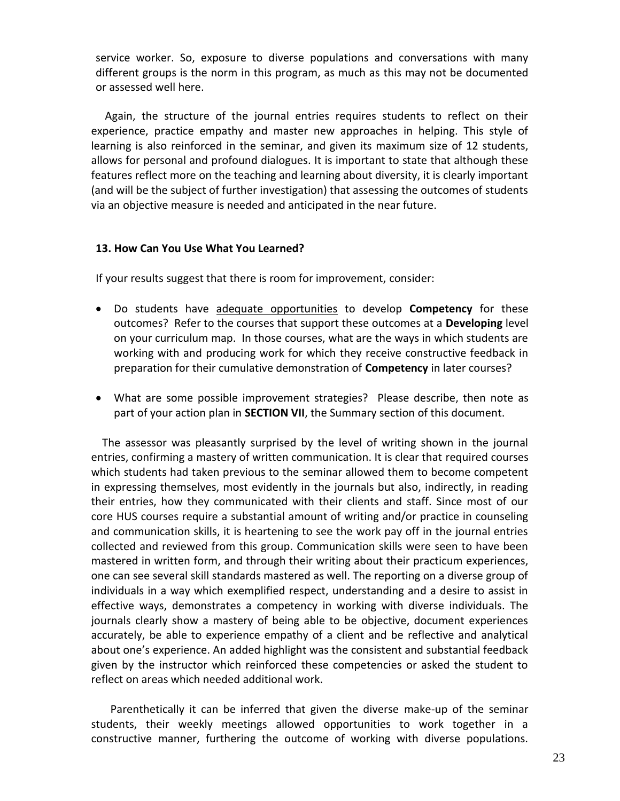service worker. So, exposure to diverse populations and conversations with many different groups is the norm in this program, as much as this may not be documented or assessed well here.

 Again, the structure of the journal entries requires students to reflect on their experience, practice empathy and master new approaches in helping. This style of learning is also reinforced in the seminar, and given its maximum size of 12 students, allows for personal and profound dialogues. It is important to state that although these features reflect more on the teaching and learning about diversity, it is clearly important (and will be the subject of further investigation) that assessing the outcomes of students via an objective measure is needed and anticipated in the near future.

### **13. How Can You Use What You Learned?**

If your results suggest that there is room for improvement, consider:

- Do students have adequate opportunities to develop **Competency** for these outcomes? Refer to the courses that support these outcomes at a **Developing** level on your curriculum map. In those courses, what are the ways in which students are working with and producing work for which they receive constructive feedback in preparation for their cumulative demonstration of **Competency** in later courses?
- What are some possible improvement strategies? Please describe, then note as part of your action plan in **SECTION VII**, the Summary section of this document.

 The assessor was pleasantly surprised by the level of writing shown in the journal entries, confirming a mastery of written communication. It is clear that required courses which students had taken previous to the seminar allowed them to become competent in expressing themselves, most evidently in the journals but also, indirectly, in reading their entries, how they communicated with their clients and staff. Since most of our core HUS courses require a substantial amount of writing and/or practice in counseling and communication skills, it is heartening to see the work pay off in the journal entries collected and reviewed from this group. Communication skills were seen to have been mastered in written form, and through their writing about their practicum experiences, one can see several skill standards mastered as well. The reporting on a diverse group of individuals in a way which exemplified respect, understanding and a desire to assist in effective ways, demonstrates a competency in working with diverse individuals. The journals clearly show a mastery of being able to be objective, document experiences accurately, be able to experience empathy of a client and be reflective and analytical about one's experience. An added highlight was the consistent and substantial feedback given by the instructor which reinforced these competencies or asked the student to reflect on areas which needed additional work.

 Parenthetically it can be inferred that given the diverse make-up of the seminar students, their weekly meetings allowed opportunities to work together in a constructive manner, furthering the outcome of working with diverse populations.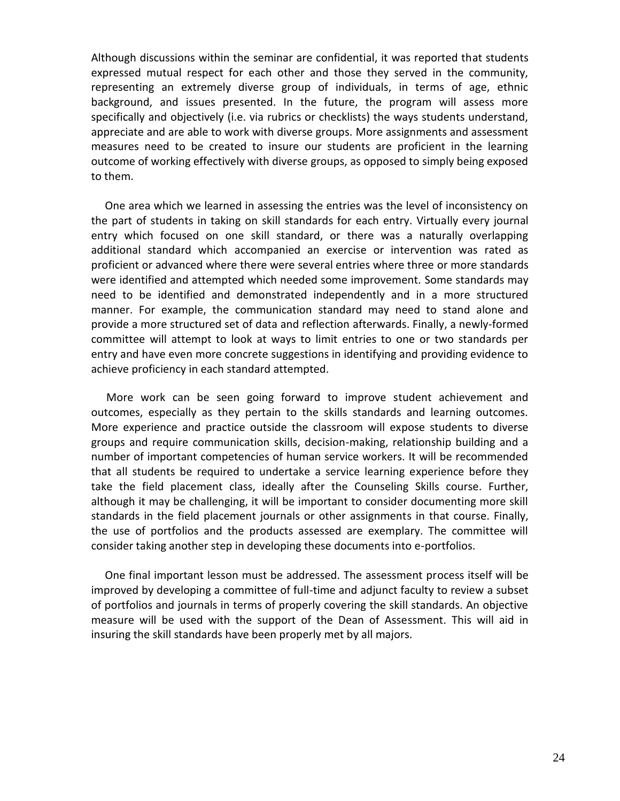Although discussions within the seminar are confidential, it was reported that students expressed mutual respect for each other and those they served in the community, representing an extremely diverse group of individuals, in terms of age, ethnic background, and issues presented. In the future, the program will assess more specifically and objectively (i.e. via rubrics or checklists) the ways students understand, appreciate and are able to work with diverse groups. More assignments and assessment measures need to be created to insure our students are proficient in the learning outcome of working effectively with diverse groups, as opposed to simply being exposed to them.

 One area which we learned in assessing the entries was the level of inconsistency on the part of students in taking on skill standards for each entry. Virtually every journal entry which focused on one skill standard, or there was a naturally overlapping additional standard which accompanied an exercise or intervention was rated as proficient or advanced where there were several entries where three or more standards were identified and attempted which needed some improvement. Some standards may need to be identified and demonstrated independently and in a more structured manner. For example, the communication standard may need to stand alone and provide a more structured set of data and reflection afterwards. Finally, a newly-formed committee will attempt to look at ways to limit entries to one or two standards per entry and have even more concrete suggestions in identifying and providing evidence to achieve proficiency in each standard attempted.

 More work can be seen going forward to improve student achievement and outcomes, especially as they pertain to the skills standards and learning outcomes. More experience and practice outside the classroom will expose students to diverse groups and require communication skills, decision-making, relationship building and a number of important competencies of human service workers. It will be recommended that all students be required to undertake a service learning experience before they take the field placement class, ideally after the Counseling Skills course. Further, although it may be challenging, it will be important to consider documenting more skill standards in the field placement journals or other assignments in that course. Finally, the use of portfolios and the products assessed are exemplary. The committee will consider taking another step in developing these documents into e-portfolios.

 One final important lesson must be addressed. The assessment process itself will be improved by developing a committee of full-time and adjunct faculty to review a subset of portfolios and journals in terms of properly covering the skill standards. An objective measure will be used with the support of the Dean of Assessment. This will aid in insuring the skill standards have been properly met by all majors.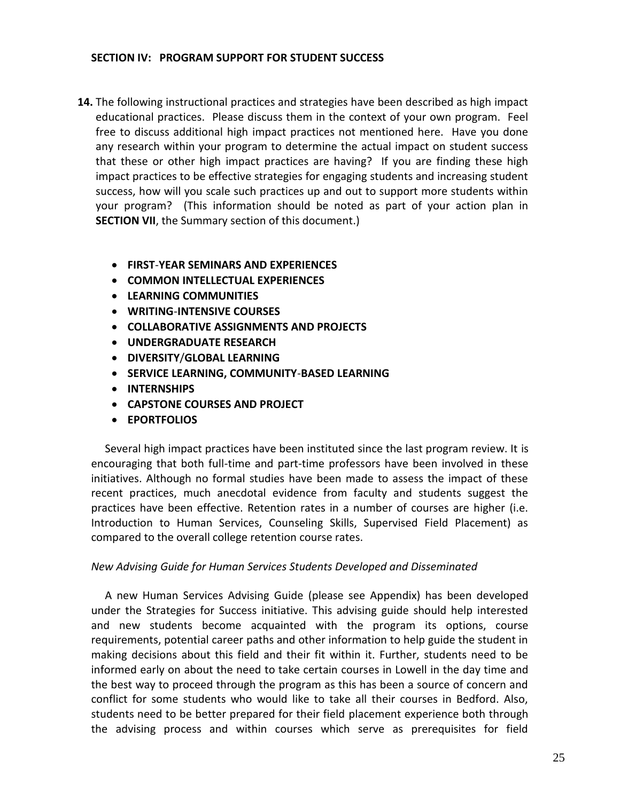### **SECTION IV: PROGRAM SUPPORT FOR STUDENT SUCCESS**

- **14.** The following instructional practices and strategies have been described as high impact educational practices. Please discuss them in the context of your own program. Feel free to discuss additional high impact practices not mentioned here. Have you done any research within your program to determine the actual impact on student success that these or other high impact practices are having? If you are finding these high impact practices to be effective strategies for engaging students and increasing student success, how will you scale such practices up and out to support more students within your program? (This information should be noted as part of your action plan in **SECTION VII**, the Summary section of this document.)
	- **FIRST**-**YEAR SEMINARS AND EXPERIENCES**
	- **COMMON INTELLECTUAL EXPERIENCES**
	- **LEARNING COMMUNITIES**
	- **WRITING**-**INTENSIVE COURSES**
	- **COLLABORATIVE ASSIGNMENTS AND PROJECTS**
	- **UNDERGRADUATE RESEARCH**
	- **DIVERSITY**/**GLOBAL LEARNING**
	- **SERVICE LEARNING, COMMUNITY**-**BASED LEARNING**
	- **INTERNSHIPS**
	- **CAPSTONE COURSES AND PROJECT**
	- **EPORTFOLIOS**

 Several high impact practices have been instituted since the last program review. It is encouraging that both full-time and part-time professors have been involved in these initiatives. Although no formal studies have been made to assess the impact of these recent practices, much anecdotal evidence from faculty and students suggest the practices have been effective. Retention rates in a number of courses are higher (i.e. Introduction to Human Services, Counseling Skills, Supervised Field Placement) as compared to the overall college retention course rates.

### *New Advising Guide for Human Services Students Developed and Disseminated*

 A new Human Services Advising Guide (please see Appendix) has been developed under the Strategies for Success initiative. This advising guide should help interested and new students become acquainted with the program its options, course requirements, potential career paths and other information to help guide the student in making decisions about this field and their fit within it. Further, students need to be informed early on about the need to take certain courses in Lowell in the day time and the best way to proceed through the program as this has been a source of concern and conflict for some students who would like to take all their courses in Bedford. Also, students need to be better prepared for their field placement experience both through the advising process and within courses which serve as prerequisites for field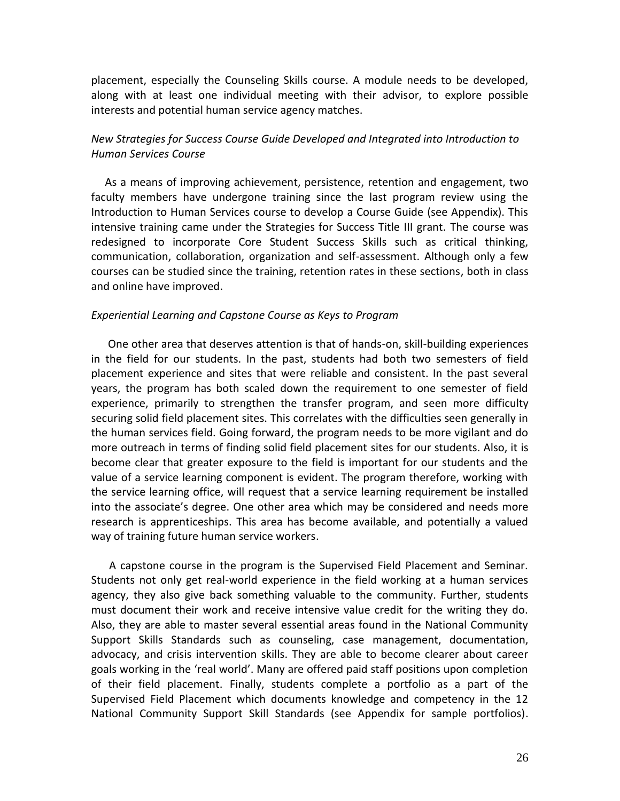placement, especially the Counseling Skills course. A module needs to be developed, along with at least one individual meeting with their advisor, to explore possible interests and potential human service agency matches.

# *New Strategies for Success Course Guide Developed and Integrated into Introduction to Human Services Course*

 As a means of improving achievement, persistence, retention and engagement, two faculty members have undergone training since the last program review using the Introduction to Human Services course to develop a Course Guide (see Appendix). This intensive training came under the Strategies for Success Title III grant. The course was redesigned to incorporate Core Student Success Skills such as critical thinking, communication, collaboration, organization and self-assessment. Although only a few courses can be studied since the training, retention rates in these sections, both in class and online have improved.

#### *Experiential Learning and Capstone Course as Keys to Program*

 One other area that deserves attention is that of hands-on, skill-building experiences in the field for our students. In the past, students had both two semesters of field placement experience and sites that were reliable and consistent. In the past several years, the program has both scaled down the requirement to one semester of field experience, primarily to strengthen the transfer program, and seen more difficulty securing solid field placement sites. This correlates with the difficulties seen generally in the human services field. Going forward, the program needs to be more vigilant and do more outreach in terms of finding solid field placement sites for our students. Also, it is become clear that greater exposure to the field is important for our students and the value of a service learning component is evident. The program therefore, working with the service learning office, will request that a service learning requirement be installed into the associate's degree. One other area which may be considered and needs more research is apprenticeships. This area has become available, and potentially a valued way of training future human service workers.

 A capstone course in the program is the Supervised Field Placement and Seminar. Students not only get real-world experience in the field working at a human services agency, they also give back something valuable to the community. Further, students must document their work and receive intensive value credit for the writing they do. Also, they are able to master several essential areas found in the National Community Support Skills Standards such as counseling, case management, documentation, advocacy, and crisis intervention skills. They are able to become clearer about career goals working in the 'real world'. Many are offered paid staff positions upon completion of their field placement. Finally, students complete a portfolio as a part of the Supervised Field Placement which documents knowledge and competency in the 12 National Community Support Skill Standards (see Appendix for sample portfolios).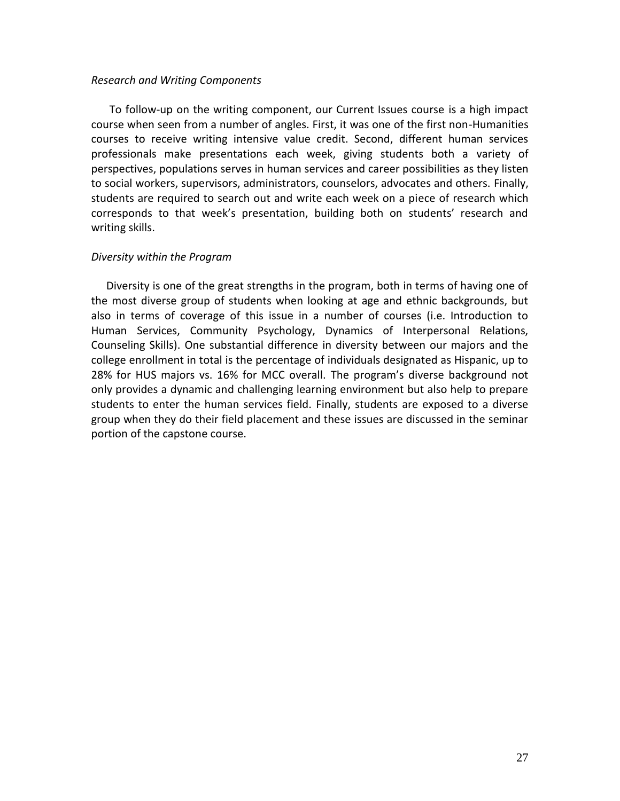#### *Research and Writing Components*

 To follow-up on the writing component, our Current Issues course is a high impact course when seen from a number of angles. First, it was one of the first non-Humanities courses to receive writing intensive value credit. Second, different human services professionals make presentations each week, giving students both a variety of perspectives, populations serves in human services and career possibilities as they listen to social workers, supervisors, administrators, counselors, advocates and others. Finally, students are required to search out and write each week on a piece of research which corresponds to that week's presentation, building both on students' research and writing skills.

### *Diversity within the Program*

 Diversity is one of the great strengths in the program, both in terms of having one of the most diverse group of students when looking at age and ethnic backgrounds, but also in terms of coverage of this issue in a number of courses (i.e. Introduction to Human Services, Community Psychology, Dynamics of Interpersonal Relations, Counseling Skills). One substantial difference in diversity between our majors and the college enrollment in total is the percentage of individuals designated as Hispanic, up to 28% for HUS majors vs. 16% for MCC overall. The program's diverse background not only provides a dynamic and challenging learning environment but also help to prepare students to enter the human services field. Finally, students are exposed to a diverse group when they do their field placement and these issues are discussed in the seminar portion of the capstone course.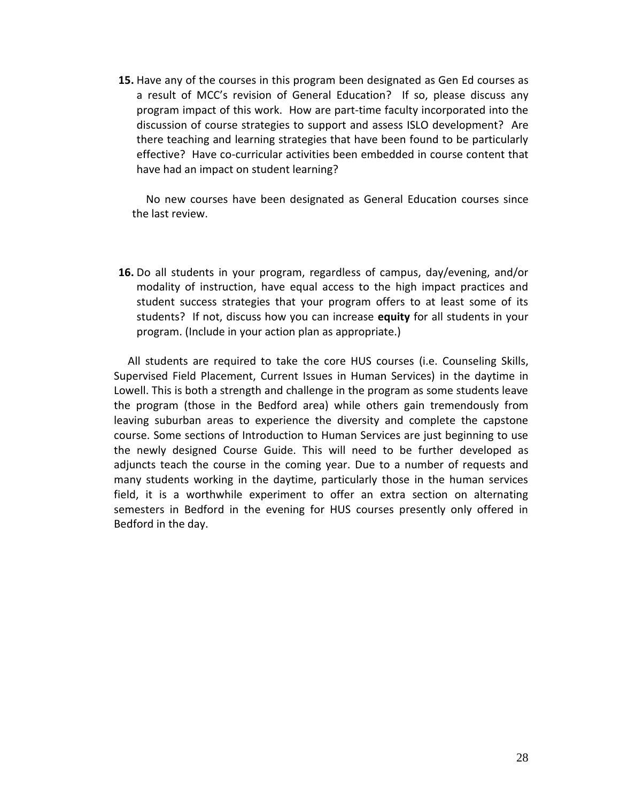**15.** Have any of the courses in this program been designated as Gen Ed courses as a result of MCC's revision of General Education? If so, please discuss any program impact of this work. How are part-time faculty incorporated into the discussion of course strategies to support and assess ISLO development? Are there teaching and learning strategies that have been found to be particularly effective? Have co-curricular activities been embedded in course content that have had an impact on student learning?

 No new courses have been designated as General Education courses since the last review.

**16.** Do all students in your program, regardless of campus, day/evening, and/or modality of instruction, have equal access to the high impact practices and student success strategies that your program offers to at least some of its students? If not, discuss how you can increase **equity** for all students in your program. (Include in your action plan as appropriate.)

 All students are required to take the core HUS courses (i.e. Counseling Skills, Supervised Field Placement, Current Issues in Human Services) in the daytime in Lowell. This is both a strength and challenge in the program as some students leave the program (those in the Bedford area) while others gain tremendously from leaving suburban areas to experience the diversity and complete the capstone course. Some sections of Introduction to Human Services are just beginning to use the newly designed Course Guide. This will need to be further developed as adjuncts teach the course in the coming year. Due to a number of requests and many students working in the daytime, particularly those in the human services field, it is a worthwhile experiment to offer an extra section on alternating semesters in Bedford in the evening for HUS courses presently only offered in Bedford in the day.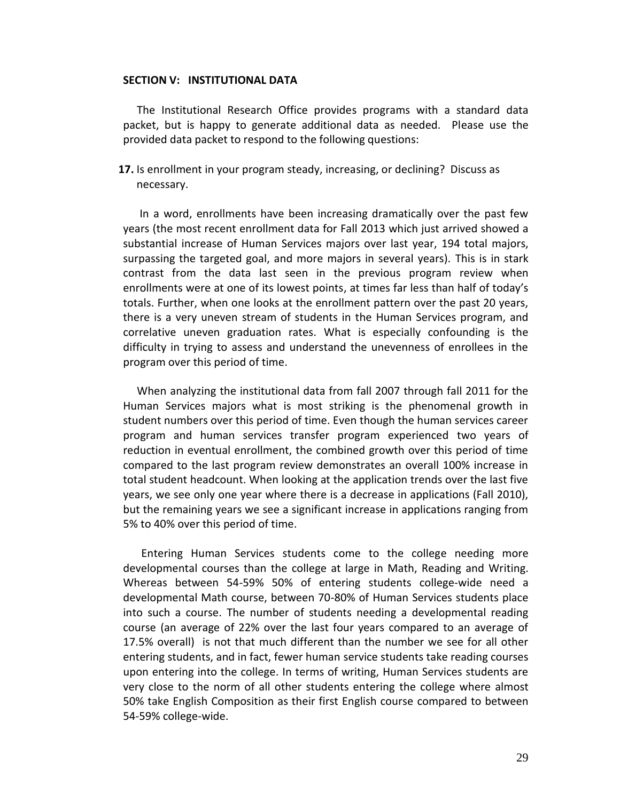#### **SECTION V: INSTITUTIONAL DATA**

 The Institutional Research Office provides programs with a standard data packet, but is happy to generate additional data as needed. Please use the provided data packet to respond to the following questions:

**17.** Is enrollment in your program steady, increasing, or declining? Discuss as necessary.

 In a word, enrollments have been increasing dramatically over the past few years (the most recent enrollment data for Fall 2013 which just arrived showed a substantial increase of Human Services majors over last year, 194 total majors, surpassing the targeted goal, and more majors in several years). This is in stark contrast from the data last seen in the previous program review when enrollments were at one of its lowest points, at times far less than half of today's totals. Further, when one looks at the enrollment pattern over the past 20 years, there is a very uneven stream of students in the Human Services program, and correlative uneven graduation rates. What is especially confounding is the difficulty in trying to assess and understand the unevenness of enrollees in the program over this period of time.

 When analyzing the institutional data from fall 2007 through fall 2011 for the Human Services majors what is most striking is the phenomenal growth in student numbers over this period of time. Even though the human services career program and human services transfer program experienced two years of reduction in eventual enrollment, the combined growth over this period of time compared to the last program review demonstrates an overall 100% increase in total student headcount. When looking at the application trends over the last five years, we see only one year where there is a decrease in applications (Fall 2010), but the remaining years we see a significant increase in applications ranging from 5% to 40% over this period of time.

 Entering Human Services students come to the college needing more developmental courses than the college at large in Math, Reading and Writing. Whereas between 54-59% 50% of entering students college-wide need a developmental Math course, between 70-80% of Human Services students place into such a course. The number of students needing a developmental reading course (an average of 22% over the last four years compared to an average of 17.5% overall) is not that much different than the number we see for all other entering students, and in fact, fewer human service students take reading courses upon entering into the college. In terms of writing, Human Services students are very close to the norm of all other students entering the college where almost 50% take English Composition as their first English course compared to between 54-59% college-wide.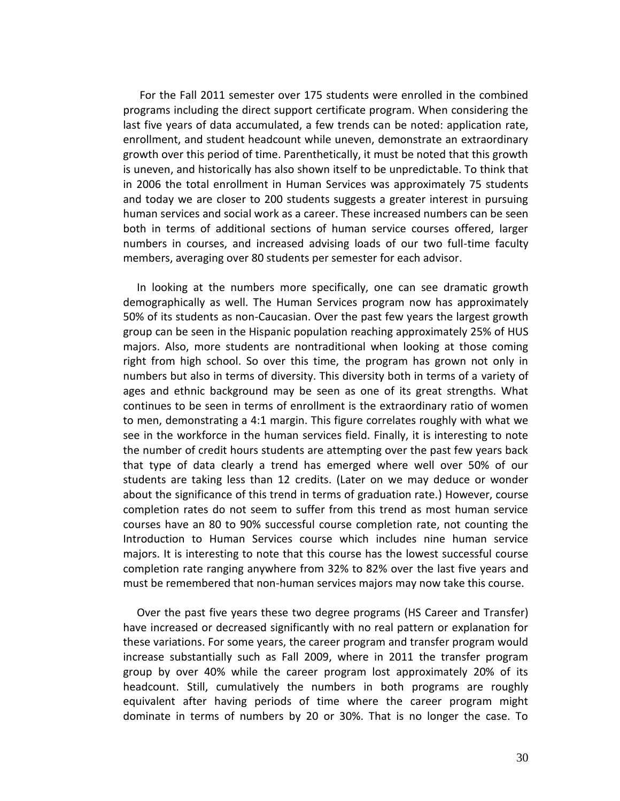For the Fall 2011 semester over 175 students were enrolled in the combined programs including the direct support certificate program. When considering the last five years of data accumulated, a few trends can be noted: application rate, enrollment, and student headcount while uneven, demonstrate an extraordinary growth over this period of time. Parenthetically, it must be noted that this growth is uneven, and historically has also shown itself to be unpredictable. To think that in 2006 the total enrollment in Human Services was approximately 75 students and today we are closer to 200 students suggests a greater interest in pursuing human services and social work as a career. These increased numbers can be seen both in terms of additional sections of human service courses offered, larger numbers in courses, and increased advising loads of our two full-time faculty members, averaging over 80 students per semester for each advisor.

 In looking at the numbers more specifically, one can see dramatic growth demographically as well. The Human Services program now has approximately 50% of its students as non-Caucasian. Over the past few years the largest growth group can be seen in the Hispanic population reaching approximately 25% of HUS majors. Also, more students are nontraditional when looking at those coming right from high school. So over this time, the program has grown not only in numbers but also in terms of diversity. This diversity both in terms of a variety of ages and ethnic background may be seen as one of its great strengths. What continues to be seen in terms of enrollment is the extraordinary ratio of women to men, demonstrating a 4:1 margin. This figure correlates roughly with what we see in the workforce in the human services field. Finally, it is interesting to note the number of credit hours students are attempting over the past few years back that type of data clearly a trend has emerged where well over 50% of our students are taking less than 12 credits. (Later on we may deduce or wonder about the significance of this trend in terms of graduation rate.) However, course completion rates do not seem to suffer from this trend as most human service courses have an 80 to 90% successful course completion rate, not counting the Introduction to Human Services course which includes nine human service majors. It is interesting to note that this course has the lowest successful course completion rate ranging anywhere from 32% to 82% over the last five years and must be remembered that non-human services majors may now take this course.

 Over the past five years these two degree programs (HS Career and Transfer) have increased or decreased significantly with no real pattern or explanation for these variations. For some years, the career program and transfer program would increase substantially such as Fall 2009, where in 2011 the transfer program group by over 40% while the career program lost approximately 20% of its headcount. Still, cumulatively the numbers in both programs are roughly equivalent after having periods of time where the career program might dominate in terms of numbers by 20 or 30%. That is no longer the case. To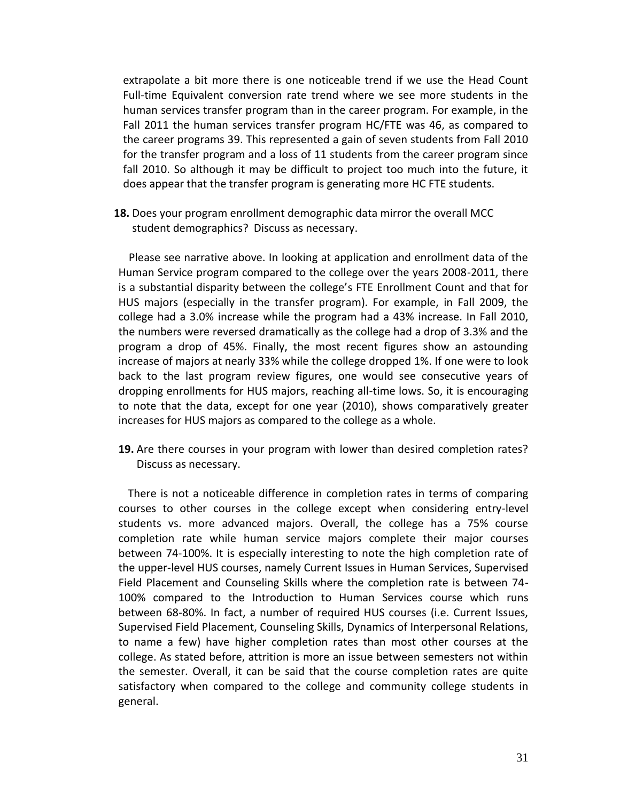extrapolate a bit more there is one noticeable trend if we use the Head Count Full-time Equivalent conversion rate trend where we see more students in the human services transfer program than in the career program. For example, in the Fall 2011 the human services transfer program HC/FTE was 46, as compared to the career programs 39. This represented a gain of seven students from Fall 2010 for the transfer program and a loss of 11 students from the career program since fall 2010. So although it may be difficult to project too much into the future, it does appear that the transfer program is generating more HC FTE students.

**18.** Does your program enrollment demographic data mirror the overall MCC student demographics? Discuss as necessary.

 Please see narrative above. In looking at application and enrollment data of the Human Service program compared to the college over the years 2008-2011, there is a substantial disparity between the college's FTE Enrollment Count and that for HUS majors (especially in the transfer program). For example, in Fall 2009, the college had a 3.0% increase while the program had a 43% increase. In Fall 2010, the numbers were reversed dramatically as the college had a drop of 3.3% and the program a drop of 45%. Finally, the most recent figures show an astounding increase of majors at nearly 33% while the college dropped 1%. If one were to look back to the last program review figures, one would see consecutive years of dropping enrollments for HUS majors, reaching all-time lows. So, it is encouraging to note that the data, except for one year (2010), shows comparatively greater increases for HUS majors as compared to the college as a whole.

**19.** Are there courses in your program with lower than desired completion rates? Discuss as necessary.

 There is not a noticeable difference in completion rates in terms of comparing courses to other courses in the college except when considering entry-level students vs. more advanced majors. Overall, the college has a 75% course completion rate while human service majors complete their major courses between 74-100%. It is especially interesting to note the high completion rate of the upper-level HUS courses, namely Current Issues in Human Services, Supervised Field Placement and Counseling Skills where the completion rate is between 74- 100% compared to the Introduction to Human Services course which runs between 68-80%. In fact, a number of required HUS courses (i.e. Current Issues, Supervised Field Placement, Counseling Skills, Dynamics of Interpersonal Relations, to name a few) have higher completion rates than most other courses at the college. As stated before, attrition is more an issue between semesters not within the semester. Overall, it can be said that the course completion rates are quite satisfactory when compared to the college and community college students in general.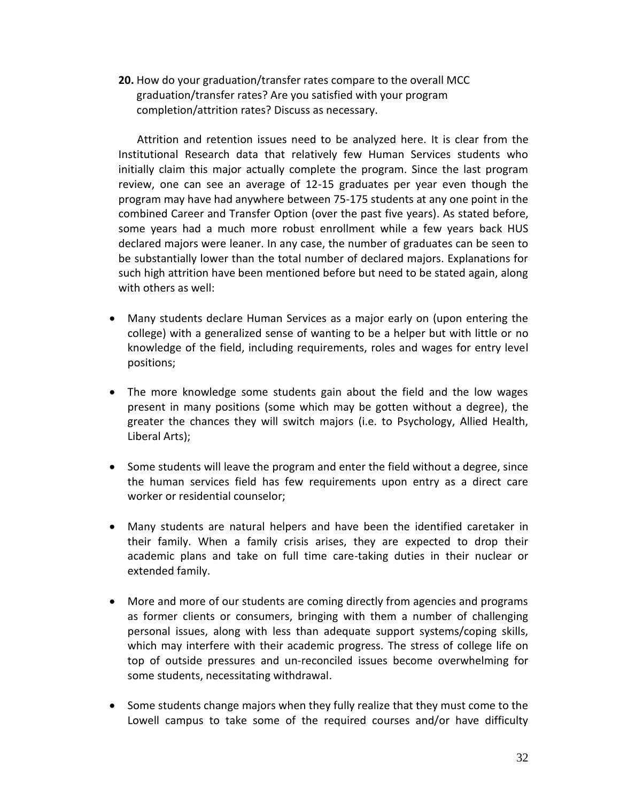**20.** How do your graduation/transfer rates compare to the overall MCC graduation/transfer rates? Are you satisfied with your program completion/attrition rates? Discuss as necessary.

 Attrition and retention issues need to be analyzed here. It is clear from the Institutional Research data that relatively few Human Services students who initially claim this major actually complete the program. Since the last program review, one can see an average of 12-15 graduates per year even though the program may have had anywhere between 75-175 students at any one point in the combined Career and Transfer Option (over the past five years). As stated before, some years had a much more robust enrollment while a few years back HUS declared majors were leaner. In any case, the number of graduates can be seen to be substantially lower than the total number of declared majors. Explanations for such high attrition have been mentioned before but need to be stated again, along with others as well:

- Many students declare Human Services as a major early on (upon entering the college) with a generalized sense of wanting to be a helper but with little or no knowledge of the field, including requirements, roles and wages for entry level positions;
- The more knowledge some students gain about the field and the low wages present in many positions (some which may be gotten without a degree), the greater the chances they will switch majors (i.e. to Psychology, Allied Health, Liberal Arts);
- Some students will leave the program and enter the field without a degree, since the human services field has few requirements upon entry as a direct care worker or residential counselor;
- Many students are natural helpers and have been the identified caretaker in their family. When a family crisis arises, they are expected to drop their academic plans and take on full time care-taking duties in their nuclear or extended family.
- More and more of our students are coming directly from agencies and programs as former clients or consumers, bringing with them a number of challenging personal issues, along with less than adequate support systems/coping skills, which may interfere with their academic progress. The stress of college life on top of outside pressures and un-reconciled issues become overwhelming for some students, necessitating withdrawal.
- Some students change majors when they fully realize that they must come to the Lowell campus to take some of the required courses and/or have difficulty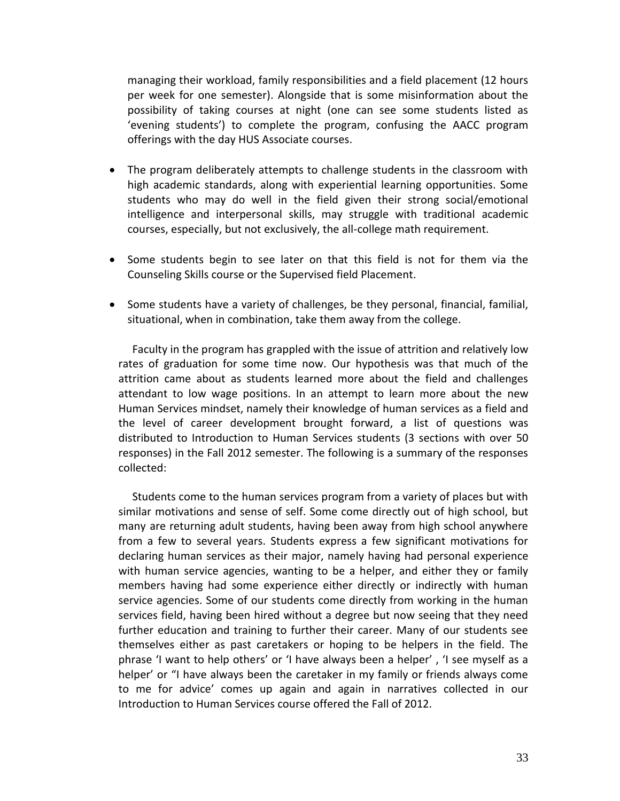managing their workload, family responsibilities and a field placement (12 hours per week for one semester). Alongside that is some misinformation about the possibility of taking courses at night (one can see some students listed as 'evening students') to complete the program, confusing the AACC program offerings with the day HUS Associate courses.

- The program deliberately attempts to challenge students in the classroom with high academic standards, along with experiential learning opportunities. Some students who may do well in the field given their strong social/emotional intelligence and interpersonal skills, may struggle with traditional academic courses, especially, but not exclusively, the all-college math requirement.
- Some students begin to see later on that this field is not for them via the Counseling Skills course or the Supervised field Placement.
- Some students have a variety of challenges, be they personal, financial, familial, situational, when in combination, take them away from the college.

Faculty in the program has grappled with the issue of attrition and relatively low rates of graduation for some time now. Our hypothesis was that much of the attrition came about as students learned more about the field and challenges attendant to low wage positions. In an attempt to learn more about the new Human Services mindset, namely their knowledge of human services as a field and the level of career development brought forward, a list of questions was distributed to Introduction to Human Services students (3 sections with over 50 responses) in the Fall 2012 semester. The following is a summary of the responses collected:

 Students come to the human services program from a variety of places but with similar motivations and sense of self. Some come directly out of high school, but many are returning adult students, having been away from high school anywhere from a few to several years. Students express a few significant motivations for declaring human services as their major, namely having had personal experience with human service agencies, wanting to be a helper, and either they or family members having had some experience either directly or indirectly with human service agencies. Some of our students come directly from working in the human services field, having been hired without a degree but now seeing that they need further education and training to further their career. Many of our students see themselves either as past caretakers or hoping to be helpers in the field. The phrase 'I want to help others' or 'I have always been a helper' , 'I see myself as a helper' or "I have always been the caretaker in my family or friends always come to me for advice' comes up again and again in narratives collected in our Introduction to Human Services course offered the Fall of 2012.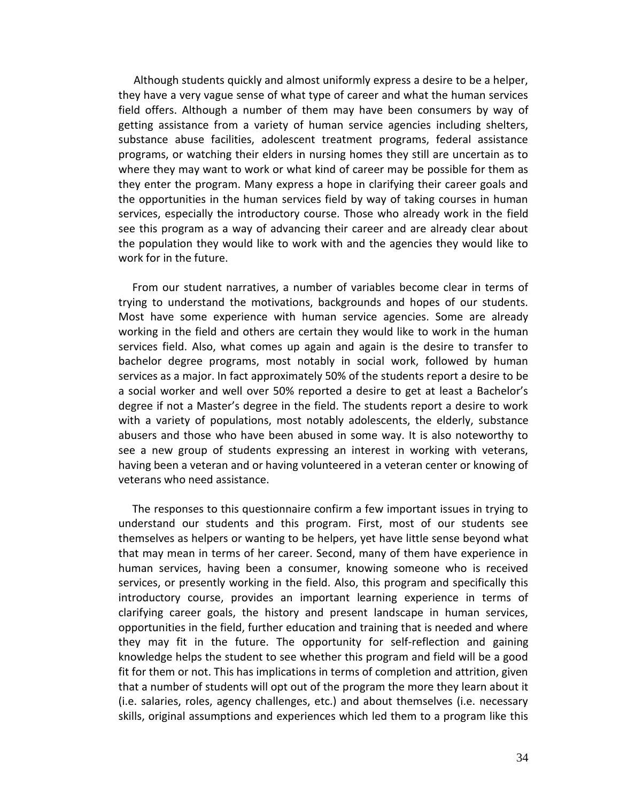Although students quickly and almost uniformly express a desire to be a helper, they have a very vague sense of what type of career and what the human services field offers. Although a number of them may have been consumers by way of getting assistance from a variety of human service agencies including shelters, substance abuse facilities, adolescent treatment programs, federal assistance programs, or watching their elders in nursing homes they still are uncertain as to where they may want to work or what kind of career may be possible for them as they enter the program. Many express a hope in clarifying their career goals and the opportunities in the human services field by way of taking courses in human services, especially the introductory course. Those who already work in the field see this program as a way of advancing their career and are already clear about the population they would like to work with and the agencies they would like to work for in the future.

 From our student narratives, a number of variables become clear in terms of trying to understand the motivations, backgrounds and hopes of our students. Most have some experience with human service agencies. Some are already working in the field and others are certain they would like to work in the human services field. Also, what comes up again and again is the desire to transfer to bachelor degree programs, most notably in social work, followed by human services as a major. In fact approximately 50% of the students report a desire to be a social worker and well over 50% reported a desire to get at least a Bachelor's degree if not a Master's degree in the field. The students report a desire to work with a variety of populations, most notably adolescents, the elderly, substance abusers and those who have been abused in some way. It is also noteworthy to see a new group of students expressing an interest in working with veterans, having been a veteran and or having volunteered in a veteran center or knowing of veterans who need assistance.

 The responses to this questionnaire confirm a few important issues in trying to understand our students and this program. First, most of our students see themselves as helpers or wanting to be helpers, yet have little sense beyond what that may mean in terms of her career. Second, many of them have experience in human services, having been a consumer, knowing someone who is received services, or presently working in the field. Also, this program and specifically this introductory course, provides an important learning experience in terms of clarifying career goals, the history and present landscape in human services, opportunities in the field, further education and training that is needed and where they may fit in the future. The opportunity for self-reflection and gaining knowledge helps the student to see whether this program and field will be a good fit for them or not. This has implications in terms of completion and attrition, given that a number of students will opt out of the program the more they learn about it (i.e. salaries, roles, agency challenges, etc.) and about themselves (i.e. necessary skills, original assumptions and experiences which led them to a program like this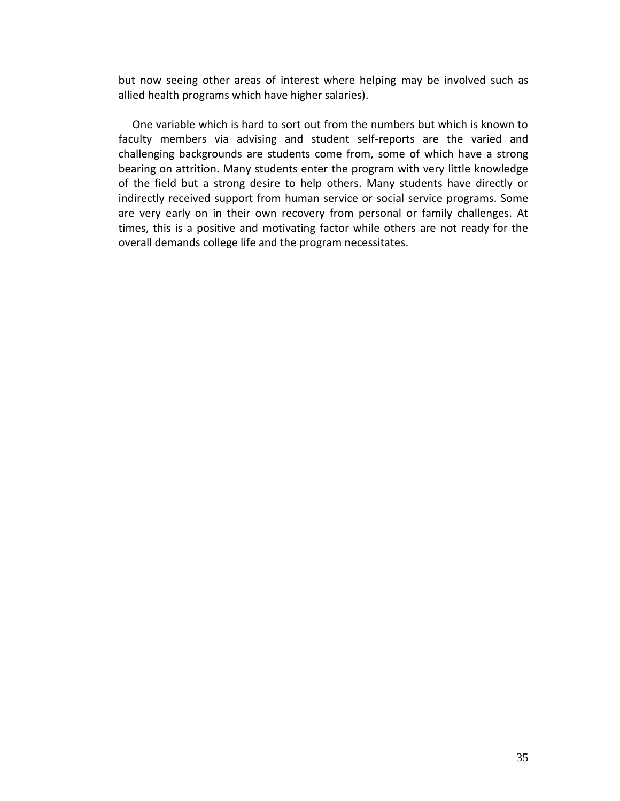but now seeing other areas of interest where helping may be involved such as allied health programs which have higher salaries).

 One variable which is hard to sort out from the numbers but which is known to faculty members via advising and student self-reports are the varied and challenging backgrounds are students come from, some of which have a strong bearing on attrition. Many students enter the program with very little knowledge of the field but a strong desire to help others. Many students have directly or indirectly received support from human service or social service programs. Some are very early on in their own recovery from personal or family challenges. At times, this is a positive and motivating factor while others are not ready for the overall demands college life and the program necessitates.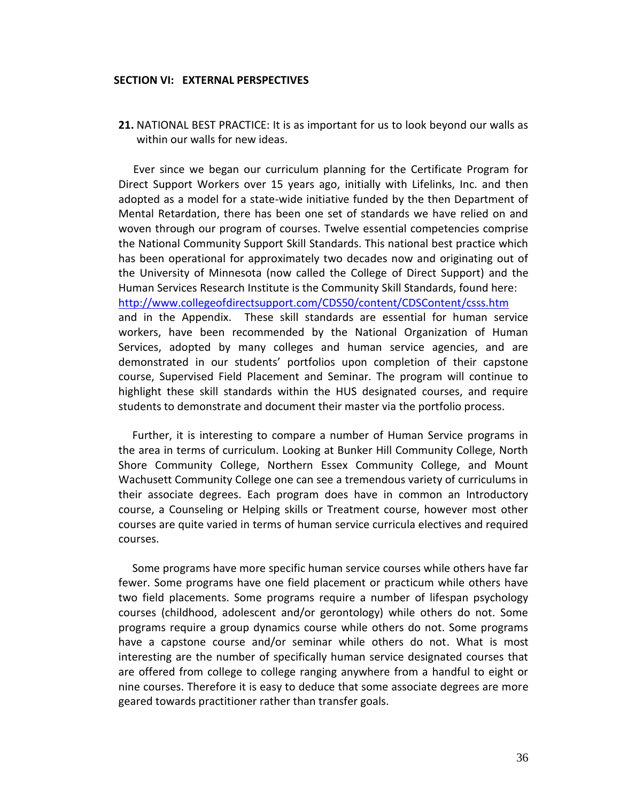#### **SECTION VI: EXTERNAL PERSPECTIVES**

**21.** NATIONAL BEST PRACTICE: It is as important for us to look beyond our walls as within our walls for new ideas.

 Ever since we began our curriculum planning for the Certificate Program for Direct Support Workers over 15 years ago, initially with Lifelinks, Inc. and then adopted as a model for a state-wide initiative funded by the then Department of Mental Retardation, there has been one set of standards we have relied on and woven through our program of courses. Twelve essential competencies comprise the National Community Support Skill Standards. This national best practice which has been operational for approximately two decades now and originating out of the University of Minnesota (now called the College of Direct Support) and the Human Services Research Institute is the Community Skill Standards, found here: <http://www.collegeofdirectsupport.com/CDS50/content/CDSContent/csss.htm> and in the Appendix. These skill standards are essential for human service workers, have been recommended by the National Organization of Human Services, adopted by many colleges and human service agencies, and are demonstrated in our students' portfolios upon completion of their capstone course, Supervised Field Placement and Seminar. The program will continue to highlight these skill standards within the HUS designated courses, and require students to demonstrate and document their master via the portfolio process.

 Further, it is interesting to compare a number of Human Service programs in the area in terms of curriculum. Looking at Bunker Hill Community College, North Shore Community College, Northern Essex Community College, and Mount Wachusett Community College one can see a tremendous variety of curriculums in their associate degrees. Each program does have in common an Introductory course, a Counseling or Helping skills or Treatment course, however most other courses are quite varied in terms of human service curricula electives and required courses.

 Some programs have more specific human service courses while others have far fewer. Some programs have one field placement or practicum while others have two field placements. Some programs require a number of lifespan psychology courses (childhood, adolescent and/or gerontology) while others do not. Some programs require a group dynamics course while others do not. Some programs have a capstone course and/or seminar while others do not. What is most interesting are the number of specifically human service designated courses that are offered from college to college ranging anywhere from a handful to eight or nine courses. Therefore it is easy to deduce that some associate degrees are more geared towards practitioner rather than transfer goals.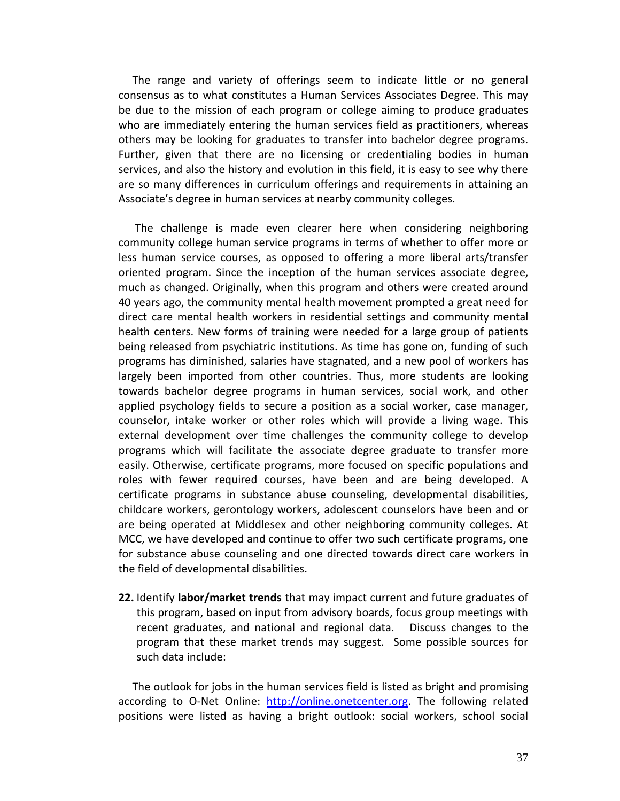The range and variety of offerings seem to indicate little or no general consensus as to what constitutes a Human Services Associates Degree. This may be due to the mission of each program or college aiming to produce graduates who are immediately entering the human services field as practitioners, whereas others may be looking for graduates to transfer into bachelor degree programs. Further, given that there are no licensing or credentialing bodies in human services, and also the history and evolution in this field, it is easy to see why there are so many differences in curriculum offerings and requirements in attaining an Associate's degree in human services at nearby community colleges.

 The challenge is made even clearer here when considering neighboring community college human service programs in terms of whether to offer more or less human service courses, as opposed to offering a more liberal arts/transfer oriented program. Since the inception of the human services associate degree, much as changed. Originally, when this program and others were created around 40 years ago, the community mental health movement prompted a great need for direct care mental health workers in residential settings and community mental health centers. New forms of training were needed for a large group of patients being released from psychiatric institutions. As time has gone on, funding of such programs has diminished, salaries have stagnated, and a new pool of workers has largely been imported from other countries. Thus, more students are looking towards bachelor degree programs in human services, social work, and other applied psychology fields to secure a position as a social worker, case manager, counselor, intake worker or other roles which will provide a living wage. This external development over time challenges the community college to develop programs which will facilitate the associate degree graduate to transfer more easily. Otherwise, certificate programs, more focused on specific populations and roles with fewer required courses, have been and are being developed. A certificate programs in substance abuse counseling, developmental disabilities, childcare workers, gerontology workers, adolescent counselors have been and or are being operated at Middlesex and other neighboring community colleges. At MCC, we have developed and continue to offer two such certificate programs, one for substance abuse counseling and one directed towards direct care workers in the field of developmental disabilities.

**22.** Identify **labor/market trends** that may impact current and future graduates of this program, based on input from advisory boards, focus group meetings with recent graduates, and national and regional data. Discuss changes to the program that these market trends may suggest. Some possible sources for such data include:

 The outlook for jobs in the human services field is listed as bright and promising according to O-Net Online: [http://online.onetcenter.org.](http://online.onetcenter.org/) The following related positions were listed as having a bright outlook: social workers, school social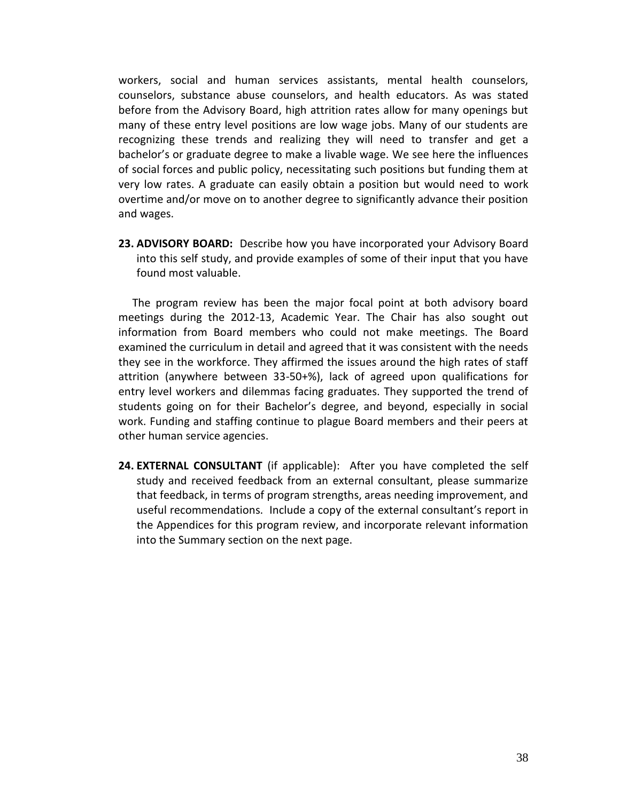workers, social and human services assistants, mental health counselors, counselors, substance abuse counselors, and health educators. As was stated before from the Advisory Board, high attrition rates allow for many openings but many of these entry level positions are low wage jobs. Many of our students are recognizing these trends and realizing they will need to transfer and get a bachelor's or graduate degree to make a livable wage. We see here the influences of social forces and public policy, necessitating such positions but funding them at very low rates. A graduate can easily obtain a position but would need to work overtime and/or move on to another degree to significantly advance their position and wages.

**23. ADVISORY BOARD:** Describe how you have incorporated your Advisory Board into this self study, and provide examples of some of their input that you have found most valuable.

 The program review has been the major focal point at both advisory board meetings during the 2012-13, Academic Year. The Chair has also sought out information from Board members who could not make meetings. The Board examined the curriculum in detail and agreed that it was consistent with the needs they see in the workforce. They affirmed the issues around the high rates of staff attrition (anywhere between 33-50+%), lack of agreed upon qualifications for entry level workers and dilemmas facing graduates. They supported the trend of students going on for their Bachelor's degree, and beyond, especially in social work. Funding and staffing continue to plague Board members and their peers at other human service agencies.

**24. EXTERNAL CONSULTANT** (if applicable): After you have completed the self study and received feedback from an external consultant, please summarize that feedback, in terms of program strengths, areas needing improvement, and useful recommendations. Include a copy of the external consultant's report in the Appendices for this program review, and incorporate relevant information into the Summary section on the next page.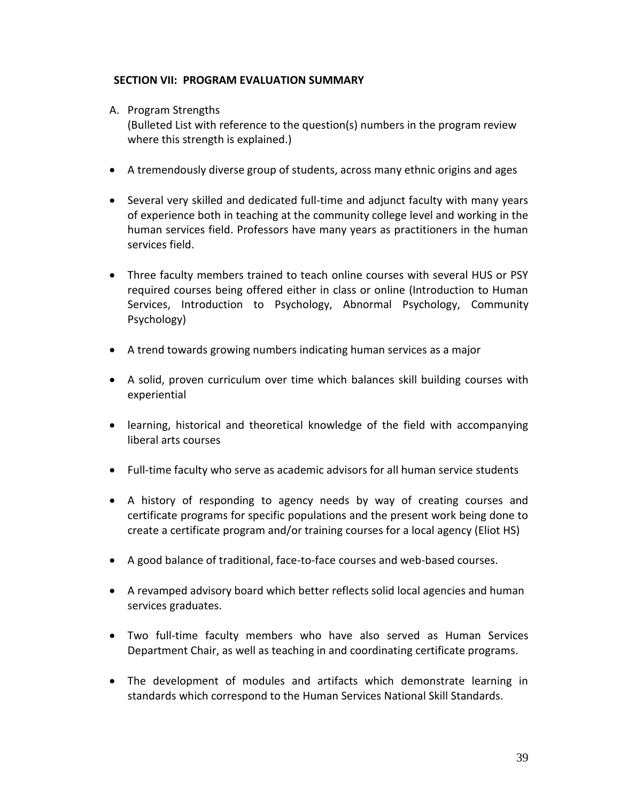# **SECTION VII: PROGRAM EVALUATION SUMMARY**

A. Program Strengths

(Bulleted List with reference to the question(s) numbers in the program review where this strength is explained.)

- A tremendously diverse group of students, across many ethnic origins and ages
- Several very skilled and dedicated full-time and adjunct faculty with many years of experience both in teaching at the community college level and working in the human services field. Professors have many years as practitioners in the human services field.
- Three faculty members trained to teach online courses with several HUS or PSY required courses being offered either in class or online (Introduction to Human Services, Introduction to Psychology, Abnormal Psychology, Community Psychology)
- A trend towards growing numbers indicating human services as a major
- A solid, proven curriculum over time which balances skill building courses with experiential
- learning, historical and theoretical knowledge of the field with accompanying liberal arts courses
- Full-time faculty who serve as academic advisors for all human service students
- A history of responding to agency needs by way of creating courses and certificate programs for specific populations and the present work being done to create a certificate program and/or training courses for a local agency (Eliot HS)
- A good balance of traditional, face-to-face courses and web-based courses.
- A revamped advisory board which better reflects solid local agencies and human services graduates.
- Two full-time faculty members who have also served as Human Services Department Chair, as well as teaching in and coordinating certificate programs.
- The development of modules and artifacts which demonstrate learning in standards which correspond to the Human Services National Skill Standards.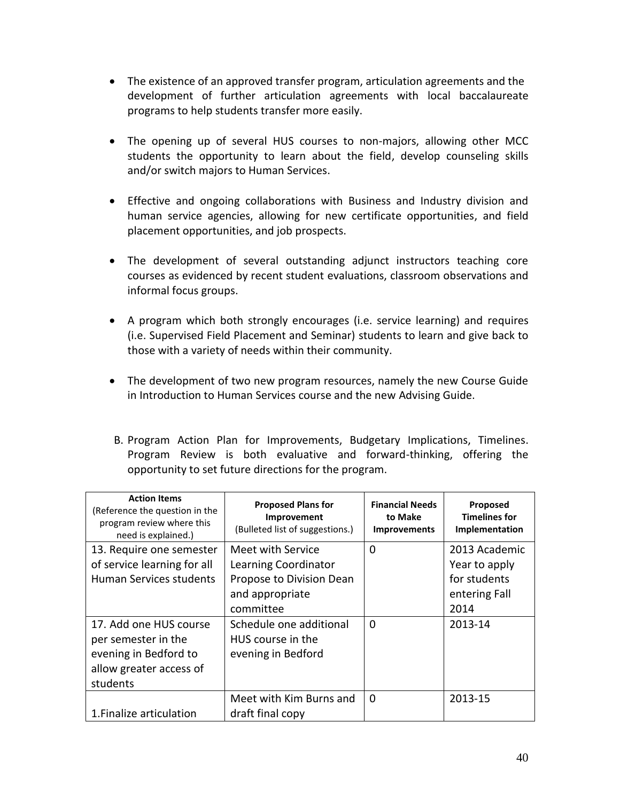- The existence of an approved transfer program, articulation agreements and the development of further articulation agreements with local baccalaureate programs to help students transfer more easily.
- The opening up of several HUS courses to non-majors, allowing other MCC students the opportunity to learn about the field, develop counseling skills and/or switch majors to Human Services.
- Effective and ongoing collaborations with Business and Industry division and human service agencies, allowing for new certificate opportunities, and field placement opportunities, and job prospects.
- The development of several outstanding adjunct instructors teaching core courses as evidenced by recent student evaluations, classroom observations and informal focus groups.
- A program which both strongly encourages (i.e. service learning) and requires (i.e. Supervised Field Placement and Seminar) students to learn and give back to those with a variety of needs within their community.
- The development of two new program resources, namely the new Course Guide in Introduction to Human Services course and the new Advising Guide.
- B. Program Action Plan for Improvements, Budgetary Implications, Timelines. Program Review is both evaluative and forward-thinking, offering the opportunity to set future directions for the program.

| <b>Action Items</b><br>(Reference the question in the<br>program review where this<br>need is explained.) | <b>Proposed Plans for</b><br>Improvement<br>(Bulleted list of suggestions.) | <b>Financial Needs</b><br>to Make<br><b>Improvements</b> | Proposed<br><b>Timelines for</b><br>Implementation |
|-----------------------------------------------------------------------------------------------------------|-----------------------------------------------------------------------------|----------------------------------------------------------|----------------------------------------------------|
| 13. Require one semester                                                                                  | Meet with Service                                                           | 0                                                        | 2013 Academic                                      |
| of service learning for all                                                                               | Learning Coordinator                                                        |                                                          | Year to apply                                      |
| Human Services students                                                                                   | Propose to Division Dean                                                    |                                                          | for students                                       |
|                                                                                                           | and appropriate                                                             |                                                          | entering Fall                                      |
|                                                                                                           | committee                                                                   |                                                          | 2014                                               |
| 17. Add one HUS course                                                                                    | Schedule one additional                                                     | $\Omega$                                                 | 2013-14                                            |
| per semester in the                                                                                       | HUS course in the                                                           |                                                          |                                                    |
| evening in Bedford to                                                                                     | evening in Bedford                                                          |                                                          |                                                    |
| allow greater access of                                                                                   |                                                                             |                                                          |                                                    |
| students                                                                                                  |                                                                             |                                                          |                                                    |
|                                                                                                           | Meet with Kim Burns and                                                     | $\Omega$                                                 | 2013-15                                            |
| 1. Finalize articulation                                                                                  | draft final copy                                                            |                                                          |                                                    |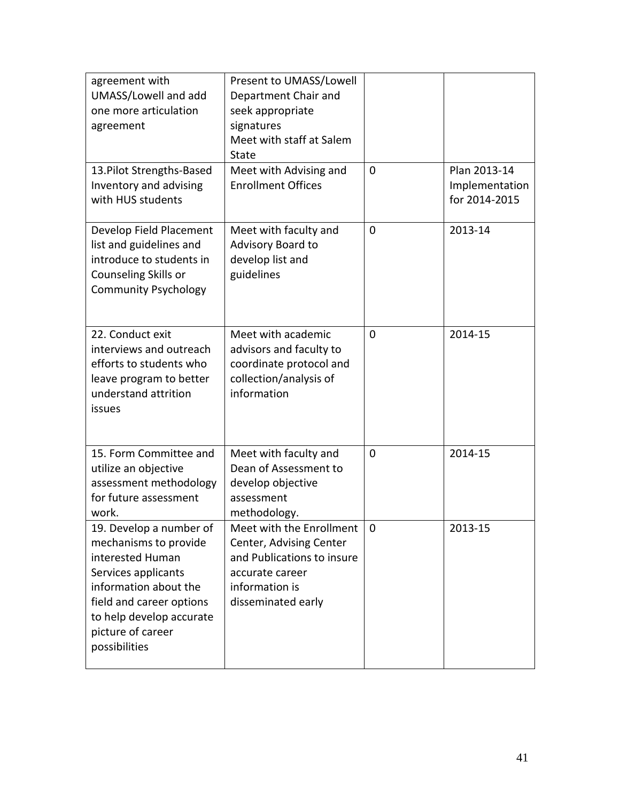| agreement with<br>UMASS/Lowell and add<br>one more articulation<br>agreement                                                                                                                                       | Present to UMASS/Lowell<br>Department Chair and<br>seek appropriate<br>signatures<br>Meet with staff at Salem<br><b>State</b>                |                |                                                 |
|--------------------------------------------------------------------------------------------------------------------------------------------------------------------------------------------------------------------|----------------------------------------------------------------------------------------------------------------------------------------------|----------------|-------------------------------------------------|
| 13. Pilot Strengths-Based<br>Inventory and advising<br>with HUS students                                                                                                                                           | Meet with Advising and<br><b>Enrollment Offices</b>                                                                                          | $\overline{0}$ | Plan 2013-14<br>Implementation<br>for 2014-2015 |
| Develop Field Placement<br>list and guidelines and<br>introduce to students in<br>Counseling Skills or<br><b>Community Psychology</b>                                                                              | Meet with faculty and<br>Advisory Board to<br>develop list and<br>guidelines                                                                 | $\overline{0}$ | 2013-14                                         |
| 22. Conduct exit<br>interviews and outreach<br>efforts to students who<br>leave program to better<br>understand attrition<br>issues                                                                                | Meet with academic<br>advisors and faculty to<br>coordinate protocol and<br>collection/analysis of<br>information                            | $\overline{0}$ | 2014-15                                         |
| 15. Form Committee and<br>utilize an objective<br>assessment methodology<br>for future assessment<br>work.                                                                                                         | Meet with faculty and<br>Dean of Assessment to<br>develop objective<br>assessment<br>methodology.                                            | $\mathbf 0$    | 2014-15                                         |
| 19. Develop a number of<br>mechanisms to provide<br>interested Human<br>Services applicants<br>information about the<br>field and career options<br>to help develop accurate<br>picture of career<br>possibilities | Meet with the Enrollment<br>Center, Advising Center<br>and Publications to insure<br>accurate career<br>information is<br>disseminated early | $\mathbf 0$    | 2013-15                                         |